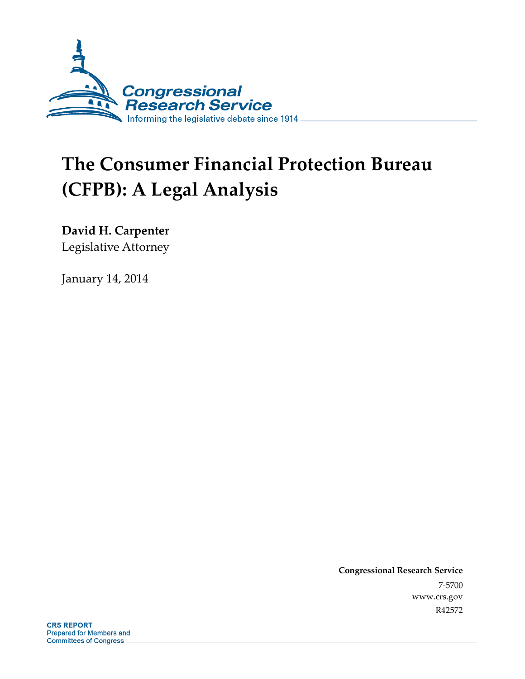

# **The Consumer Financial Protection Bureau (CFPB): A Legal Analysis**

**David H. Carpenter** 

Legislative Attorney

January 14, 2014

**Congressional Research Service**  7-5700 www.crs.gov R42572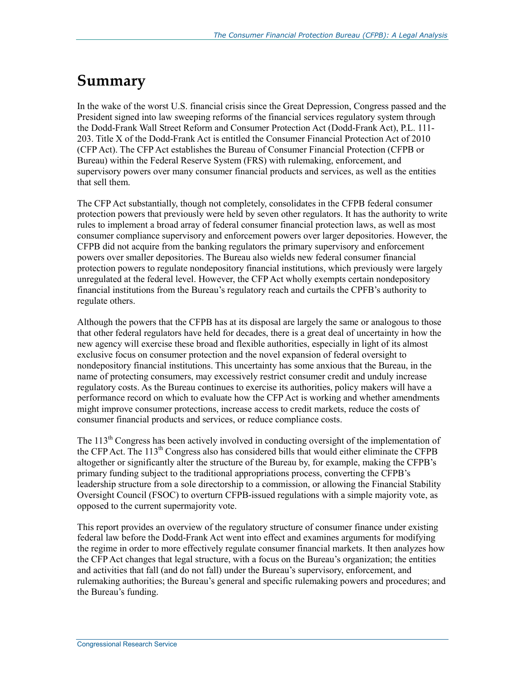## **Summary**

In the wake of the worst U.S. financial crisis since the Great Depression, Congress passed and the President signed into law sweeping reforms of the financial services regulatory system through the Dodd-Frank Wall Street Reform and Consumer Protection Act (Dodd-Frank Act), P.L. 111- 203. Title X of the Dodd-Frank Act is entitled the Consumer Financial Protection Act of 2010 (CFP Act). The CFP Act establishes the Bureau of Consumer Financial Protection (CFPB or Bureau) within the Federal Reserve System (FRS) with rulemaking, enforcement, and supervisory powers over many consumer financial products and services, as well as the entities that sell them.

The CFP Act substantially, though not completely, consolidates in the CFPB federal consumer protection powers that previously were held by seven other regulators. It has the authority to write rules to implement a broad array of federal consumer financial protection laws, as well as most consumer compliance supervisory and enforcement powers over larger depositories. However, the CFPB did not acquire from the banking regulators the primary supervisory and enforcement powers over smaller depositories. The Bureau also wields new federal consumer financial protection powers to regulate nondepository financial institutions, which previously were largely unregulated at the federal level. However, the CFP Act wholly exempts certain nondepository financial institutions from the Bureau's regulatory reach and curtails the CPFB's authority to regulate others.

Although the powers that the CFPB has at its disposal are largely the same or analogous to those that other federal regulators have held for decades, there is a great deal of uncertainty in how the new agency will exercise these broad and flexible authorities, especially in light of its almost exclusive focus on consumer protection and the novel expansion of federal oversight to nondepository financial institutions. This uncertainty has some anxious that the Bureau, in the name of protecting consumers, may excessively restrict consumer credit and unduly increase regulatory costs. As the Bureau continues to exercise its authorities, policy makers will have a performance record on which to evaluate how the CFP Act is working and whether amendments might improve consumer protections, increase access to credit markets, reduce the costs of consumer financial products and services, or reduce compliance costs.

The  $113<sup>th</sup>$  Congress has been actively involved in conducting oversight of the implementation of the CFP Act. The 113<sup>th</sup> Congress also has considered bills that would either eliminate the CFPB altogether or significantly alter the structure of the Bureau by, for example, making the CFPB's primary funding subject to the traditional appropriations process, converting the CFPB's leadership structure from a sole directorship to a commission, or allowing the Financial Stability Oversight Council (FSOC) to overturn CFPB-issued regulations with a simple majority vote, as opposed to the current supermajority vote.

This report provides an overview of the regulatory structure of consumer finance under existing federal law before the Dodd-Frank Act went into effect and examines arguments for modifying the regime in order to more effectively regulate consumer financial markets. It then analyzes how the CFP Act changes that legal structure, with a focus on the Bureau's organization; the entities and activities that fall (and do not fall) under the Bureau's supervisory, enforcement, and rulemaking authorities; the Bureau's general and specific rulemaking powers and procedures; and the Bureau's funding.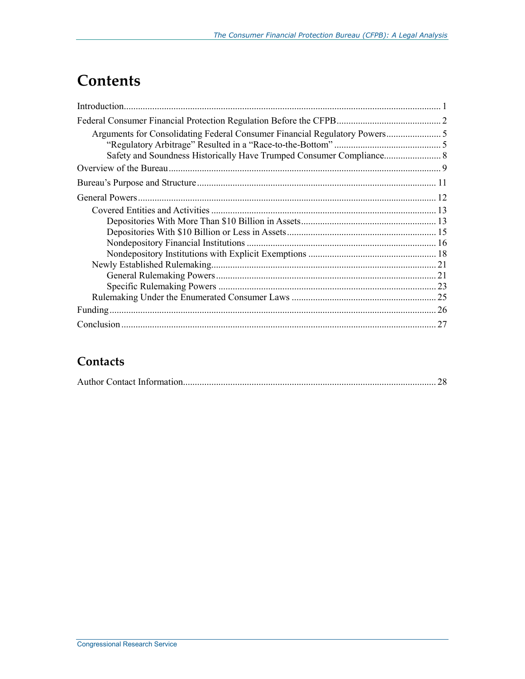## **Contents**

| 27 |
|----|

### **Contacts**

|--|--|--|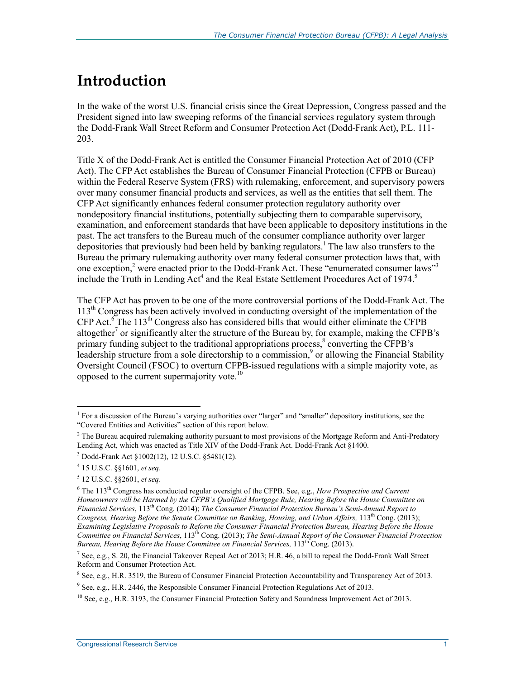## **Introduction**

In the wake of the worst U.S. financial crisis since the Great Depression, Congress passed and the President signed into law sweeping reforms of the financial services regulatory system through the Dodd-Frank Wall Street Reform and Consumer Protection Act (Dodd-Frank Act), P.L. 111- 203.

Title X of the Dodd-Frank Act is entitled the Consumer Financial Protection Act of 2010 (CFP Act). The CFP Act establishes the Bureau of Consumer Financial Protection (CFPB or Bureau) within the Federal Reserve System (FRS) with rulemaking, enforcement, and supervisory powers over many consumer financial products and services, as well as the entities that sell them. The CFP Act significantly enhances federal consumer protection regulatory authority over nondepository financial institutions, potentially subjecting them to comparable supervisory, examination, and enforcement standards that have been applicable to depository institutions in the past. The act transfers to the Bureau much of the consumer compliance authority over larger depositories that previously had been held by banking regulators.<sup>1</sup> The law also transfers to the Bureau the primary rulemaking authority over many federal consumer protection laws that, with one exception,<sup>2</sup> were enacted prior to the Dodd-Frank Act. These "enumerated consumer laws"<sup>3</sup> include the Truth in Lending Act<sup>4</sup> and the Real Estate Settlement Procedures Act of 1974.<sup>5</sup>

The CFP Act has proven to be one of the more controversial portions of the Dodd-Frank Act. The 113th Congress has been actively involved in conducting oversight of the implementation of the  $CFP$  Act.<sup>6</sup> The 113<sup>th</sup> Congress also has considered bills that would either eliminate the CFPB altogether<sup>7</sup> or significantly alter the structure of the Bureau by, for example, making the CFPB's primary funding subject to the traditional appropriations process,<sup>8</sup> converting the CFPB's leadership structure from a sole directorship to a commission, $\degree$  or allowing the Financial Stability Oversight Council (FSOC) to overturn CFPB-issued regulations with a simple majority vote, as opposed to the current supermajority vote.<sup>10</sup>

<u>.</u>

<sup>&</sup>lt;sup>1</sup> For a discussion of the Bureau's varying authorities over "larger" and "smaller" depository institutions, see the "Covered Entities and Activities" section of this report below.

 $2$  The Bureau acquired rulemaking authority pursuant to most provisions of the Mortgage Reform and Anti-Predatory Lending Act, which was enacted as Title XIV of the Dodd-Frank Act. Dodd-Frank Act §1400.

<sup>3</sup> Dodd-Frank Act §1002(12), 12 U.S.C. §5481(12).

<sup>4</sup> 15 U.S.C. §§1601, *et seq*.

<sup>5</sup> 12 U.S.C. §§2601, *et seq*.

<sup>&</sup>lt;sup>6</sup> The 113<sup>th</sup> Congress has conducted regular oversight of the CFPB. See, e.g., *How Prospective and Current Homeowners will be Harmed by the CFPB's Qualified Mortgage Rule, Hearing Before the House Committee on Financial Services*, 113th Cong. (2014); *The Consumer Financial Protection Bureau's Semi-Annual Report to*  Congress, Hearing Before the Senate Committee on Banking, Housing, and Urban Affairs, 113<sup>th</sup> Cong. (2013); *Examining Legislative Proposals to Reform the Consumer Financial Protection Bureau, Hearing Before the House Committee on Financial Services*, 113<sup>th</sup> Cong. (2013); *The Semi-Annual Report of the Consumer Financial Protection Bureau, Hearing Before the House Committee on Financial Services, 113<sup>th</sup> Cong. (2013).* 

<sup>&</sup>lt;sup>7</sup> See, e.g., S. 20, the Financial Takeover Repeal Act of 2013; H.R. 46, a bill to repeal the Dodd-Frank Wall Street Reform and Consumer Protection Act.

<sup>&</sup>lt;sup>8</sup> See, e.g., H.R. 3519, the Bureau of Consumer Financial Protection Accountability and Transparency Act of 2013.

 $9^9$  See, e.g., H.R. 2446, the Responsible Consumer Financial Protection Regulations Act of 2013.

 $^{10}$  See, e.g., H.R. 3193, the Consumer Financial Protection Safety and Soundness Improvement Act of 2013.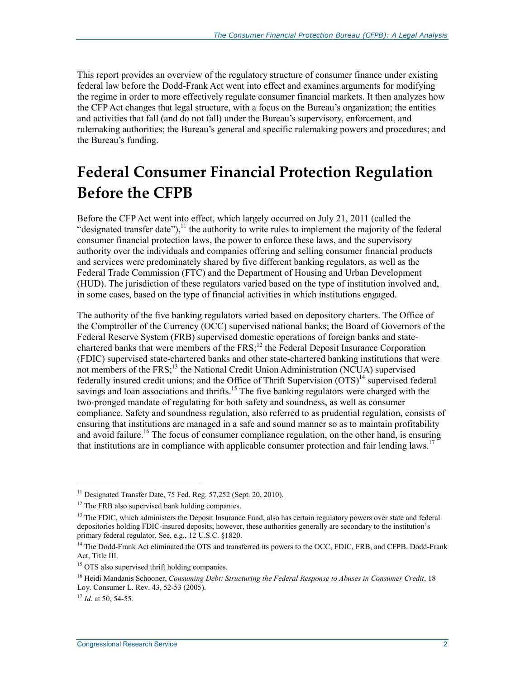This report provides an overview of the regulatory structure of consumer finance under existing federal law before the Dodd-Frank Act went into effect and examines arguments for modifying the regime in order to more effectively regulate consumer financial markets. It then analyzes how the CFP Act changes that legal structure, with a focus on the Bureau's organization; the entities and activities that fall (and do not fall) under the Bureau's supervisory, enforcement, and rulemaking authorities; the Bureau's general and specific rulemaking powers and procedures; and the Bureau's funding.

## **Federal Consumer Financial Protection Regulation Before the CFPB**

Before the CFP Act went into effect, which largely occurred on July 21, 2011 (called the "designated transfer date"), $^{11}$  the authority to write rules to implement the majority of the federal consumer financial protection laws, the power to enforce these laws, and the supervisory authority over the individuals and companies offering and selling consumer financial products and services were predominately shared by five different banking regulators, as well as the Federal Trade Commission (FTC) and the Department of Housing and Urban Development (HUD). The jurisdiction of these regulators varied based on the type of institution involved and, in some cases, based on the type of financial activities in which institutions engaged.

The authority of the five banking regulators varied based on depository charters. The Office of the Comptroller of the Currency (OCC) supervised national banks; the Board of Governors of the Federal Reserve System (FRB) supervised domestic operations of foreign banks and statechartered banks that were members of the  $FRS$ ;<sup>12</sup> the Federal Deposit Insurance Corporation (FDIC) supervised state-chartered banks and other state-chartered banking institutions that were not members of the FRS;<sup>13</sup> the National Credit Union Administration (NCUA) supervised federally insured credit unions; and the Office of Thrift Supervision  $\left( \overline{OTS} \right)^{14}$  supervised federal savings and loan associations and thrifts.<sup>15</sup> The five banking regulators were charged with the two-pronged mandate of regulating for both safety and soundness, as well as consumer compliance. Safety and soundness regulation, also referred to as prudential regulation, consists of ensuring that institutions are managed in a safe and sound manner so as to maintain profitability and avoid failure.<sup>16</sup> The focus of consumer compliance regulation, on the other hand, is ensuring that institutions are in compliance with applicable consumer protection and fair lending laws.<sup>17</sup>

<u>.</u>

 $11$  Designated Transfer Date, 75 Fed. Reg. 57,252 (Sept. 20, 2010).

<sup>&</sup>lt;sup>12</sup> The FRB also supervised bank holding companies.

<sup>&</sup>lt;sup>13</sup> The FDIC, which administers the Deposit Insurance Fund, also has certain regulatory powers over state and federal depositories holding FDIC-insured deposits; however, these authorities generally are secondary to the institution's primary federal regulator. See, e.g., 12 U.S.C. §1820.

<sup>&</sup>lt;sup>14</sup> The Dodd-Frank Act eliminated the OTS and transferred its powers to the OCC, FDIC, FRB, and CFPB. Dodd-Frank Act, Title III.

<sup>&</sup>lt;sup>15</sup> OTS also supervised thrift holding companies.

<sup>&</sup>lt;sup>16</sup> Heidi Mandanis Schooner, *Consuming Debt: Structuring the Federal Response to Abuses in Consumer Credit*, 18 Loy. Consumer L. Rev. 43, 52-53 (2005).

<sup>17</sup> *Id*. at 50, 54-55.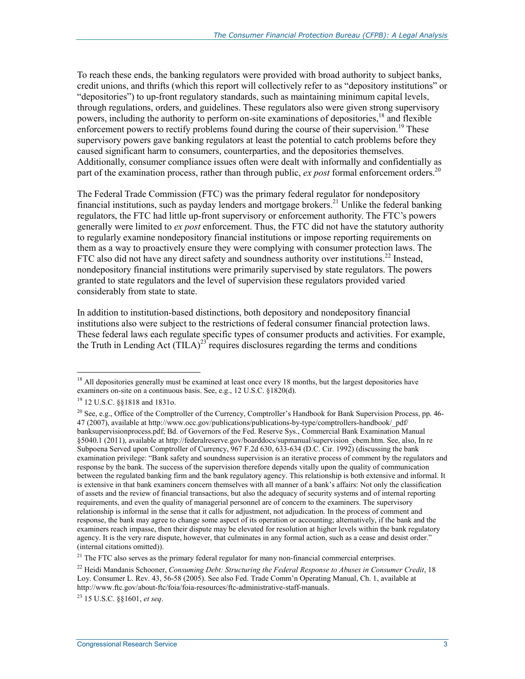To reach these ends, the banking regulators were provided with broad authority to subject banks, credit unions, and thrifts (which this report will collectively refer to as "depository institutions" or "depositories") to up-front regulatory standards, such as maintaining minimum capital levels, through regulations, orders, and guidelines. These regulators also were given strong supervisory powers, including the authority to perform on-site examinations of depositories,<sup>18</sup> and flexible enforcement powers to rectify problems found during the course of their supervision.<sup>19</sup> These supervisory powers gave banking regulators at least the potential to catch problems before they caused significant harm to consumers, counterparties, and the depositories themselves. Additionally, consumer compliance issues often were dealt with informally and confidentially as part of the examination process, rather than through public,  $ex$  *post* formal enforcement orders.<sup>20</sup>

The Federal Trade Commission (FTC) was the primary federal regulator for nondepository financial institutions, such as payday lenders and mortgage brokers.<sup>21</sup> Unlike the federal banking regulators, the FTC had little up-front supervisory or enforcement authority. The FTC's powers generally were limited to *ex post* enforcement. Thus, the FTC did not have the statutory authority to regularly examine nondepository financial institutions or impose reporting requirements on them as a way to proactively ensure they were complying with consumer protection laws. The FTC also did not have any direct safety and soundness authority over institutions.<sup>22</sup> Instead, nondepository financial institutions were primarily supervised by state regulators. The powers granted to state regulators and the level of supervision these regulators provided varied considerably from state to state.

In addition to institution-based distinctions, both depository and nondepository financial institutions also were subject to the restrictions of federal consumer financial protection laws. These federal laws each regulate specific types of consumer products and activities. For example, the Truth in Lending Act  $(TILA)^{23}$  requires disclosures regarding the terms and conditions

1

23 15 U.S.C. §§1601, *et seq*.

<sup>&</sup>lt;sup>18</sup> All depositories generally must be examined at least once every 18 months, but the largest depositories have examiners on-site on a continuous basis. See, e.g., 12 U.S.C. §1820(d).

<sup>19 12</sup> U.S.C. §§1818 and 1831o.

<sup>&</sup>lt;sup>20</sup> See, e.g., Office of the Comptroller of the Currency, Comptroller's Handbook for Bank Supervision Process, pp. 46-47 (2007), available at http://www.occ.gov/publications/publications-by-type/comptrollers-handbook/\_pdf/ banksupervisionprocess.pdf; Bd. of Governors of the Fed. Reserve Sys., Commercial Bank Examination Manual §5040.1 (2011), available at http://federalreserve.gov/boarddocs/supmanual/supervision cbem.htm. See, also, In re Subpoena Served upon Comptroller of Currency, 967 F.2d 630, 633-634 (D.C. Cir. 1992) (discussing the bank examination privilege: "Bank safety and soundness supervision is an iterative process of comment by the regulators and response by the bank. The success of the supervision therefore depends vitally upon the quality of communication between the regulated banking firm and the bank regulatory agency. This relationship is both extensive and informal. It is extensive in that bank examiners concern themselves with all manner of a bank's affairs: Not only the classification of assets and the review of financial transactions, but also the adequacy of security systems and of internal reporting requirements, and even the quality of managerial personnel are of concern to the examiners. The supervisory relationship is informal in the sense that it calls for adjustment, not adjudication. In the process of comment and response, the bank may agree to change some aspect of its operation or accounting; alternatively, if the bank and the examiners reach impasse, then their dispute may be elevated for resolution at higher levels within the bank regulatory agency. It is the very rare dispute, however, that culminates in any formal action, such as a cease and desist order." (internal citations omitted)).

<sup>&</sup>lt;sup>21</sup> The FTC also serves as the primary federal regulator for many non-financial commercial enterprises.

<sup>&</sup>lt;sup>22</sup> Heidi Mandanis Schooner, *Consuming Debt: Structuring the Federal Response to Abuses in Consumer Credit*, 18 Loy. Consumer L. Rev. 43, 56-58 (2005). See also Fed. Trade Comm'n Operating Manual, Ch. 1, available at http://www.ftc.gov/about-ftc/foia/foia-resources/ftc-administrative-staff-manuals.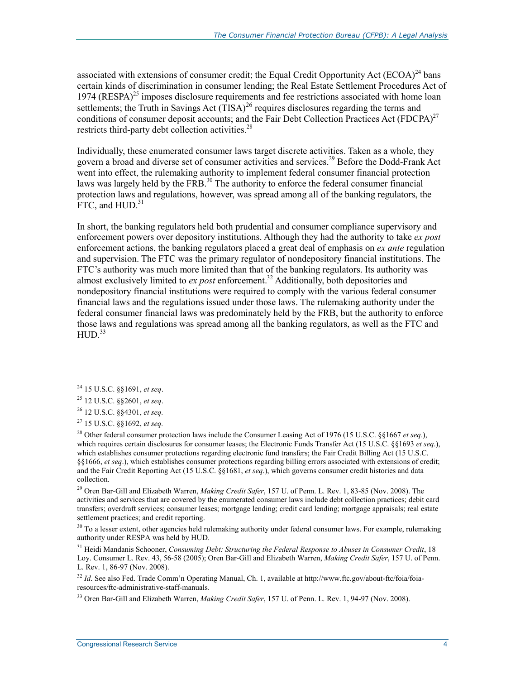associated with extensions of consumer credit; the Equal Credit Opportunity Act  $(ECOA)^{24}$  bans certain kinds of discrimination in consumer lending; the Real Estate Settlement Procedures Act of 1974 (RESPA)<sup>25</sup> imposes disclosure requirements and fee restrictions associated with home loan settlements; the Truth in Savings Act  $(TISA)^{26}$  requires disclosures regarding the terms and conditions of consumer deposit accounts; and the Fair Debt Collection Practices Act (FDCPA) $^{27}$ restricts third-party debt collection activities. $^{28}$ 

Individually, these enumerated consumer laws target discrete activities. Taken as a whole, they govern a broad and diverse set of consumer activities and services.<sup>29</sup> Before the Dodd-Frank Act went into effect, the rulemaking authority to implement federal consumer financial protection laws was largely held by the FRB.<sup>30</sup> The authority to enforce the federal consumer financial protection laws and regulations, however, was spread among all of the banking regulators, the  $FTC$ , and  $HUD$ .<sup>31</sup>

In short, the banking regulators held both prudential and consumer compliance supervisory and enforcement powers over depository institutions. Although they had the authority to take *ex post*  enforcement actions, the banking regulators placed a great deal of emphasis on *ex ante* regulation and supervision. The FTC was the primary regulator of nondepository financial institutions. The FTC's authority was much more limited than that of the banking regulators. Its authority was almost exclusively limited to *ex post* enforcement.32 Additionally, both depositories and nondepository financial institutions were required to comply with the various federal consumer financial laws and the regulations issued under those laws. The rulemaking authority under the federal consumer financial laws was predominately held by the FRB, but the authority to enforce those laws and regulations was spread among all the banking regulators, as well as the FTC and  $HUD.<sup>33</sup>$ 

1

29 Oren Bar-Gill and Elizabeth Warren, *Making Credit Safer*, 157 U. of Penn. L. Rev. 1, 83-85 (Nov. 2008). The activities and services that are covered by the enumerated consumer laws include debt collection practices; debit card transfers; overdraft services; consumer leases; mortgage lending; credit card lending; mortgage appraisals; real estate settlement practices; and credit reporting.

<sup>30</sup> To a lesser extent, other agencies held rulemaking authority under federal consumer laws. For example, rulemaking authority under RESPA was held by HUD.

<sup>31</sup> Heidi Mandanis Schooner, *Consuming Debt: Structuring the Federal Response to Abuses in Consumer Credit*, 18 Loy. Consumer L. Rev. 43, 56-58 (2005); Oren Bar-Gill and Elizabeth Warren, *Making Credit Safer*, 157 U. of Penn. L. Rev. 1, 86-97 (Nov. 2008).

<sup>32</sup> *Id.* See also Fed. Trade Comm'n Operating Manual, Ch. 1, available at http://www.ftc.gov/about-ftc/foia/foiaresources/ftc-administrative-staff-manuals.

33 Oren Bar-Gill and Elizabeth Warren, *Making Credit Safer*, 157 U. of Penn. L. Rev. 1, 94-97 (Nov. 2008).

<sup>24 15</sup> U.S.C. §§1691, *et seq*.

<sup>25 12</sup> U.S.C. §§2601, *et seq*.

<sup>26 12</sup> U.S.C. §§4301, *et seq.*

<sup>27 15</sup> U.S.C. §§1692, *et seq.*

<sup>28</sup> Other federal consumer protection laws include the Consumer Leasing Act of 1976 (15 U.S.C. §§1667 *et seq.*), which requires certain disclosures for consumer leases; the Electronic Funds Transfer Act (15 U.S.C. §§1693 *et seq*.), which establishes consumer protections regarding electronic fund transfers; the Fair Credit Billing Act (15 U.S.C. §§1666, *et seq*.), which establishes consumer protections regarding billing errors associated with extensions of credit; and the Fair Credit Reporting Act (15 U.S.C. §§1681, *et seq*.), which governs consumer credit histories and data collection.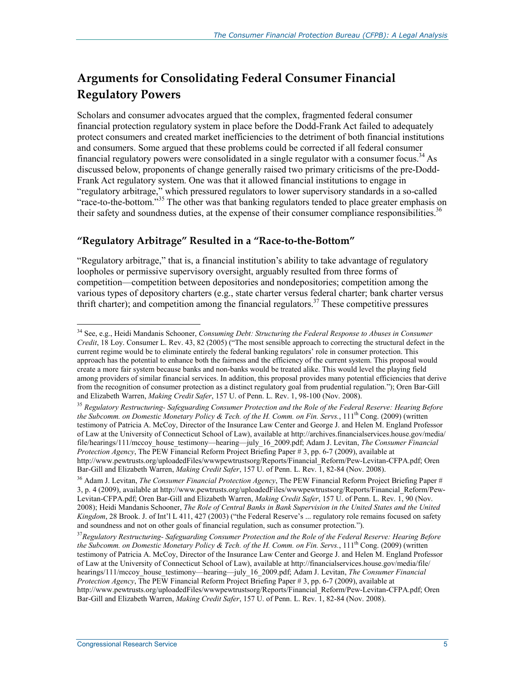### **Arguments for Consolidating Federal Consumer Financial Regulatory Powers**

Scholars and consumer advocates argued that the complex, fragmented federal consumer financial protection regulatory system in place before the Dodd-Frank Act failed to adequately protect consumers and created market inefficiencies to the detriment of both financial institutions and consumers. Some argued that these problems could be corrected if all federal consumer financial regulatory powers were consolidated in a single regulator with a consumer focus.<sup>34</sup> As discussed below, proponents of change generally raised two primary criticisms of the pre-Dodd-Frank Act regulatory system. One was that it allowed financial institutions to engage in "regulatory arbitrage," which pressured regulators to lower supervisory standards in a so-called "race-to-the-bottom."35 The other was that banking regulators tended to place greater emphasis on their safety and soundness duties, at the expense of their consumer compliance responsibilities.<sup>36</sup>

#### **"Regulatory Arbitrage" Resulted in a "Race-to-the-Bottom"**

"Regulatory arbitrage," that is, a financial institution's ability to take advantage of regulatory loopholes or permissive supervisory oversight, arguably resulted from three forms of competition—competition between depositories and nondepositories; competition among the various types of depository charters (e.g., state charter versus federal charter; bank charter versus thrift charter); and competition among the financial regulators.<sup>37</sup> These competitive pressures

<sup>34</sup> See, e.g., Heidi Mandanis Schooner, *Consuming Debt: Structuring the Federal Response to Abuses in Consumer Credit*, 18 Loy. Consumer L. Rev. 43, 82 (2005) ("The most sensible approach to correcting the structural defect in the current regime would be to eliminate entirely the federal banking regulators' role in consumer protection. This approach has the potential to enhance both the fairness and the efficiency of the current system. This proposal would create a more fair system because banks and non-banks would be treated alike. This would level the playing field among providers of similar financial services. In addition, this proposal provides many potential efficiencies that derive from the recognition of consumer protection as a distinct regulatory goal from prudential regulation."); Oren Bar-Gill and Elizabeth Warren, *Making Credit Safer*, 157 U. of Penn. L. Rev. 1, 98-100 (Nov. 2008).

<sup>35</sup> *Regulatory Restructuring- Safeguarding Consumer Protection and the Role of the Federal Reserve: Hearing Before the Subcomm. on Domestic Monetary Policy & Tech. of the H. Comm. on Fin. Servs.*, 111<sup>th</sup> Cong. (2009) (written testimony of Patricia A. McCoy, Director of the Insurance Law Center and George J. and Helen M. England Professor of Law at the University of Connecticut School of Law), available at http://archives.financialservices.house.gov/media/ file/hearings/111/mccoy\_house\_testimony—hearing—july\_16\_2009.pdf; Adam J. Levitan, *The Consumer Financial Protection Agency*, The PEW Financial Reform Project Briefing Paper # 3, pp. 6-7 (2009), available at http://www.pewtrusts.org/uploadedFiles/wwwpewtrustsorg/Reports/Financial\_Reform/Pew-Levitan-CFPA.pdf; Oren Bar-Gill and Elizabeth Warren, *Making Credit Safer*, 157 U. of Penn. L. Rev. 1, 82-84 (Nov. 2008).

<sup>36</sup> Adam J. Levitan, *The Consumer Financial Protection Agency*, The PEW Financial Reform Project Briefing Paper # 3, p. 4 (2009), available at http://www.pewtrusts.org/uploadedFiles/wwwpewtrustsorg/Reports/Financial\_Reform/Pew-Levitan-CFPA.pdf; Oren Bar-Gill and Elizabeth Warren, *Making Credit Safer*, 157 U. of Penn. L. Rev. 1, 90 (Nov. 2008); Heidi Mandanis Schooner, *The Role of Central Banks in Bank Supervision in the United States and the United Kingdom*, 28 Brook. J. of Int'l L 411, 427 (2003) ("the Federal Reserve's ... regulatory role remains focused on safety and soundness and not on other goals of financial regulation, such as consumer protection.").

<sup>37</sup>*Regulatory Restructuring- Safeguarding Consumer Protection and the Role of the Federal Reserve: Hearing Before the Subcomm. on Domestic Monetary Policy & Tech. of the H. Comm. on Fin. Servs.*, 111<sup>th</sup> Cong. (2009) (written testimony of Patricia A. McCoy, Director of the Insurance Law Center and George J. and Helen M. England Professor of Law at the University of Connecticut School of Law), available at http://financialservices.house.gov/media/file/ hearings/111/mccoy\_house\_testimony—hearing—july\_16\_2009.pdf; Adam J. Levitan, *The Consumer Financial Protection Agency*, The PEW Financial Reform Project Briefing Paper # 3, pp. 6-7 (2009), available at http://www.pewtrusts.org/uploadedFiles/wwwpewtrustsorg/Reports/Financial\_Reform/Pew-Levitan-CFPA.pdf; Oren Bar-Gill and Elizabeth Warren, *Making Credit Safer*, 157 U. of Penn. L. Rev. 1, 82-84 (Nov. 2008).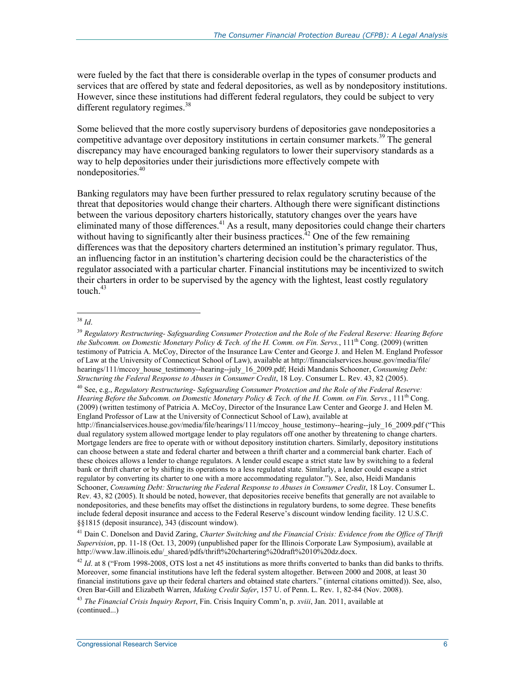were fueled by the fact that there is considerable overlap in the types of consumer products and services that are offered by state and federal depositories, as well as by nondepository institutions. However, since these institutions had different federal regulators, they could be subject to very different regulatory regimes. $38$ 

Some believed that the more costly supervisory burdens of depositories gave nondepositories a competitive advantage over depository institutions in certain consumer markets.<sup>39</sup> The general discrepancy may have encouraged banking regulators to lower their supervisory standards as a way to help depositories under their jurisdictions more effectively compete with nondepositories.40

Banking regulators may have been further pressured to relax regulatory scrutiny because of the threat that depositories would change their charters. Although there were significant distinctions between the various depository charters historically, statutory changes over the years have eliminated many of those differences.<sup>41</sup> As a result, many depositories could change their charters without having to significantly alter their business practices.<sup> $42$ </sup> One of the few remaining differences was that the depository charters determined an institution's primary regulator. Thus, an influencing factor in an institution's chartering decision could be the characteristics of the regulator associated with a particular charter. Financial institutions may be incentivized to switch their charters in order to be supervised by the agency with the lightest, least costly regulatory touch  $43$ 

<sup>&</sup>lt;u>.</u> <sup>38</sup> *Id*.

<sup>39</sup> *Regulatory Restructuring- Safeguarding Consumer Protection and the Role of the Federal Reserve: Hearing Before the Subcomm. on Domestic Monetary Policy & Tech. of the H. Comm. on Fin. Servs.*, 111<sup>th</sup> Cong. (2009) (written testimony of Patricia A. McCoy, Director of the Insurance Law Center and George J. and Helen M. England Professor of Law at the University of Connecticut School of Law), available at http://financialservices.house.gov/media/file/ hearings/111/mccoy\_house\_testimony--hearing--july\_16\_2009.pdf; Heidi Mandanis Schooner, *Consuming Debt: Structuring the Federal Response to Abuses in Consumer Credit*, 18 Loy. Consumer L. Rev. 43, 82 (2005).

<sup>40</sup> See, e.g., *Regulatory Restructuring- Safeguarding Consumer Protection and the Role of the Federal Reserve: Hearing Before the Subcomm. on Domestic Monetary Policy & Tech. of the H. Comm. on Fin. Servs.*, 111th Cong. (2009) (written testimony of Patricia A. McCoy, Director of the Insurance Law Center and George J. and Helen M. England Professor of Law at the University of Connecticut School of Law), available at

http://financialservices.house.gov/media/file/hearings/111/mccoy\_house\_testimony--hearing--july\_16\_2009.pdf ("This dual regulatory system allowed mortgage lender to play regulators off one another by threatening to change charters. Mortgage lenders are free to operate with or without depository institution charters. Similarly, depository institutions can choose between a state and federal charter and between a thrift charter and a commercial bank charter. Each of these choices allows a lender to change regulators. A lender could escape a strict state law by switching to a federal bank or thrift charter or by shifting its operations to a less regulated state. Similarly, a lender could escape a strict regulator by converting its charter to one with a more accommodating regulator."). See, also, Heidi Mandanis Schooner, *Consuming Debt: Structuring the Federal Response to Abuses in Consumer Credit*, 18 Loy. Consumer L. Rev. 43, 82 (2005). It should be noted, however, that depositories receive benefits that generally are not available to nondepositories, and these benefits may offset the distinctions in regulatory burdens, to some degree. These benefits include federal deposit insurance and access to the Federal Reserve's discount window lending facility. 12 U.S.C. §§1815 (deposit insurance), 343 (discount window).

<sup>41</sup> Dain C. Donelson and David Zaring, *Charter Switching and the Financial Crisis: Evidence from the Office of Thrift Supervision*, pp. 11-18 (Oct. 13, 2009) (unpublished paper for the Illinois Corporate Law Symposium), available at http://www.law.illinois.edu/\_shared/pdfs/thrift%20chartering%20draft%2010%20dz.docx.

<sup>&</sup>lt;sup>42</sup> *Id.* at 8 ("From 1998-2008, OTS lost a net 45 institutions as more thrifts converted to banks than did banks to thrifts. Moreover, some financial institutions have left the federal system altogether. Between 2000 and 2008, at least 30 financial institutions gave up their federal charters and obtained state charters." (internal citations omitted)). See, also, Oren Bar-Gill and Elizabeth Warren, *Making Credit Safer*, 157 U. of Penn. L. Rev. 1, 82-84 (Nov. 2008).

<sup>43</sup> *The Financial Crisis Inquiry Report*, Fin. Crisis Inquiry Comm'n, p. *xviii*, Jan. 2011, available at (continued...)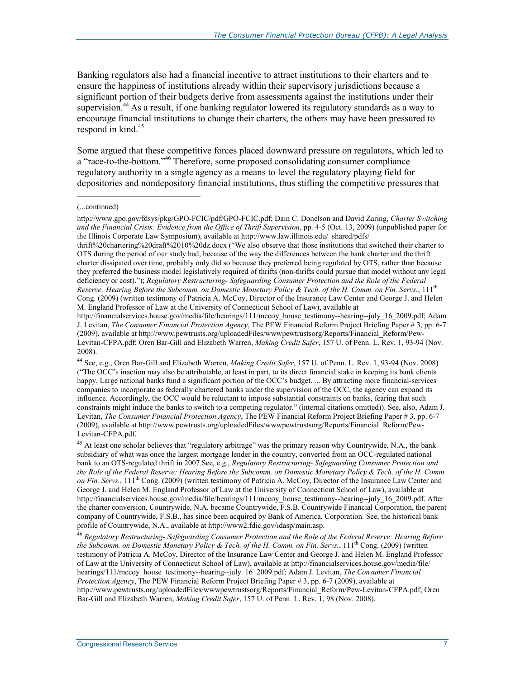Banking regulators also had a financial incentive to attract institutions to their charters and to ensure the happiness of institutions already within their supervisory jurisdictions because a significant portion of their budgets derive from assessments against the institutions under their supervision.<sup>44</sup> As a result, if one banking regulator lowered its regulatory standards as a way to encourage financial institutions to change their charters, the others may have been pressured to respond in kind. $45$ 

Some argued that these competitive forces placed downward pressure on regulators, which led to a "race-to-the-bottom."<sup>46</sup> Therefore, some proposed consolidating consumer compliance regulatory authority in a single agency as a means to level the regulatory playing field for depositories and nondepository financial institutions, thus stifling the competitive pressures that

1

thrift%20chartering%20draft%2010%20dz.docx ("We also observe that those institutions that switched their charter to OTS during the period of our study had, because of the way the differences between the bank charter and the thrift charter dissipated over time, probably only did so because they preferred being regulated by OTS, rather than because they preferred the business model legislatively required of thrifts (non-thrifts could pursue that model without any legal deficiency or cost)."); *Regulatory Restructuring- Safeguarding Consumer Protection and the Role of the Federal Reserve: Hearing Before the Subcomm. on Domestic Monetary Policy & Tech. of the H. Comm. on Fin. Servs.*, 111th Cong. (2009) (written testimony of Patricia A. McCoy, Director of the Insurance Law Center and George J. and Helen M. England Professor of Law at the University of Connecticut School of Law), available at

http://financialservices.house.gov/media/file/hearings/111/mccoy\_house\_testimony--hearing--july\_16\_2009.pdf; Adam J. Levitan, *The Consumer Financial Protection Agency*, The PEW Financial Reform Project Briefing Paper # 3, pp. 6-7 (2009), available at http://www.pewtrusts.org/uploadedFiles/wwwpewtrustsorg/Reports/Financial\_Reform/Pew-Levitan-CFPA.pdf; Oren Bar-Gill and Elizabeth Warren, *Making Credit Safer*, 157 U. of Penn. L. Rev. 1, 93-94 (Nov. 2008).

44 See, e.g., Oren Bar-Gill and Elizabeth Warren, *Making Credit Safer*, 157 U. of Penn. L. Rev. 1, 93-94 (Nov. 2008) ("The OCC's inaction may also be attributable, at least in part, to its direct financial stake in keeping its bank clients happy. Large national banks fund a significant portion of the OCC's budget. ... By attracting more financial-services companies to incorporate as federally chartered banks under the supervision of the OCC, the agency can expand its influence. Accordingly, the OCC would be reluctant to impose substantial constraints on banks, fearing that such constraints might induce the banks to switch to a competing regulator." (internal citations omitted)). See, also, Adam J. Levitan, *The Consumer Financial Protection Agency*, The PEW Financial Reform Project Briefing Paper # 3, pp. 6-7 (2009), available at http://www.pewtrusts.org/uploadedFiles/wwwpewtrustsorg/Reports/Financial\_Reform/Pew-Levitan-CFPA.pdf.

<sup>45</sup> At least one scholar believes that "regulatory arbitrage" was the primary reason why Countrywide, N.A., the bank subsidiary of what was once the largest mortgage lender in the country, converted from an OCC-regulated national bank to an OTS-regulated thrift in 2007.See, e.g., *Regulatory Restructuring- Safeguarding Consumer Protection and the Role of the Federal Reserve: Hearing Before the Subcomm. on Domestic Monetary Policy & Tech. of the H. Comm. on Fin. Servs.*, 111th Cong. (2009) (written testimony of Patricia A. McCoy, Director of the Insurance Law Center and George J. and Helen M. England Professor of Law at the University of Connecticut School of Law), available at http://financialservices.house.gov/media/file/hearings/111/mccoy\_house\_testimony--hearing--july\_16\_2009.pdf. After the charter conversion, Countrywide, N.A. became Countrywide, F.S.B. Countrywide Financial Corporation, the parent company of Countrywide, F.S.B., has since been acquired by Bank of America, Corporation. See, the historical bank profile of Countrywide, N.A., available at http://www2.fdic.gov/idasp/main.asp.

<sup>46</sup> *Regulatory Restructuring- Safeguarding Consumer Protection and the Role of the Federal Reserve: Hearing Before the Subcomm. on Domestic Monetary Policy & Tech. of the H. Comm. on Fin. Servs.*, 111<sup>th</sup> Cong. (2009) (written testimony of Patricia A. McCoy, Director of the Insurance Law Center and George J. and Helen M. England Professor of Law at the University of Connecticut School of Law), available at http://financialservices.house.gov/media/file/ hearings/111/mccoy\_house\_testimony--hearing--july\_16\_2009.pdf; Adam J. Levitan, *The Consumer Financial Protection Agency*, The PEW Financial Reform Project Briefing Paper # 3, pp. 6-7 (2009), available at http://www.pewtrusts.org/uploadedFiles/wwwpewtrustsorg/Reports/Financial\_Reform/Pew-Levitan-CFPA.pdf; Oren Bar-Gill and Elizabeth Warren, *Making Credit Safer*, 157 U. of Penn. L. Rev. 1, 98 (Nov. 2008).

<sup>(...</sup>continued)

http://www.gpo.gov/fdsys/pkg/GPO-FCIC/pdf/GPO-FCIC.pdf; Dain C. Donelson and David Zaring, *Charter Switching*  and the Financial Crisis: Evidence from the Office of Thrift Supervision, pp. 4-5 (Oct. 13, 2009) (unpublished paper for the Illinois Corporate Law Symposium), available at http://www.law.illinois.edu/ shared/pdfs/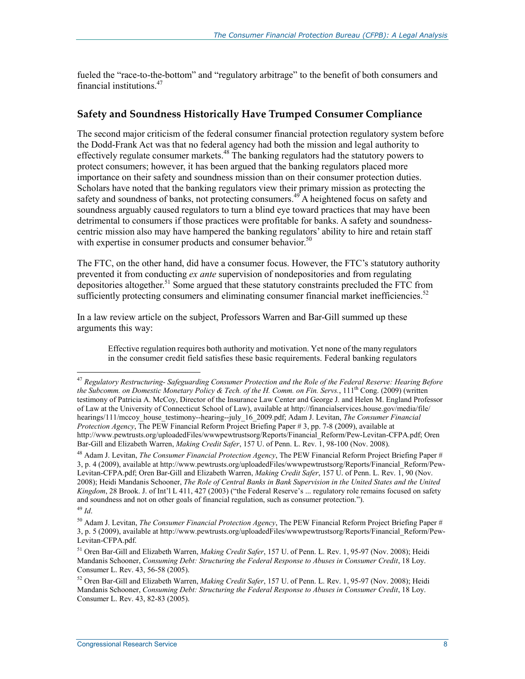fueled the "race-to-the-bottom" and "regulatory arbitrage" to the benefit of both consumers and financial institutions.47

#### **Safety and Soundness Historically Have Trumped Consumer Compliance**

The second major criticism of the federal consumer financial protection regulatory system before the Dodd-Frank Act was that no federal agency had both the mission and legal authority to effectively regulate consumer markets.<sup>48</sup> The banking regulators had the statutory powers to protect consumers; however, it has been argued that the banking regulators placed more importance on their safety and soundness mission than on their consumer protection duties. Scholars have noted that the banking regulators view their primary mission as protecting the safety and soundness of banks, not protecting consumers.<sup>49</sup> A heightened focus on safety and soundness arguably caused regulators to turn a blind eye toward practices that may have been detrimental to consumers if those practices were profitable for banks. A safety and soundnesscentric mission also may have hampered the banking regulators' ability to hire and retain staff with expertise in consumer products and consumer behavior.<sup>50</sup>

The FTC, on the other hand, did have a consumer focus. However, the FTC's statutory authority prevented it from conducting *ex ante* supervision of nondepositories and from regulating depositories altogether.<sup>51</sup> Some argued that these statutory constraints precluded the FTC from sufficiently protecting consumers and eliminating consumer financial market inefficiencies.<sup>52</sup>

In a law review article on the subject, Professors Warren and Bar-Gill summed up these arguments this way:

Effective regulation requires both authority and motivation. Yet none of the many regulators in the consumer credit field satisfies these basic requirements. Federal banking regulators

<sup>47</sup> *Regulatory Restructuring- Safeguarding Consumer Protection and the Role of the Federal Reserve: Hearing Before the Subcomm. on Domestic Monetary Policy & Tech. of the H. Comm. on Fin. Servs.*, 111th Cong. (2009) (written testimony of Patricia A. McCoy, Director of the Insurance Law Center and George J. and Helen M. England Professor of Law at the University of Connecticut School of Law), available at http://financialservices.house.gov/media/file/ hearings/111/mccoy\_house\_testimony--hearing--july\_16\_2009.pdf; Adam J. Levitan, *The Consumer Financial Protection Agency*, The PEW Financial Reform Project Briefing Paper # 3, pp. 7-8 (2009), available at http://www.pewtrusts.org/uploadedFiles/wwwpewtrustsorg/Reports/Financial\_Reform/Pew-Levitan-CFPA.pdf; Oren Bar-Gill and Elizabeth Warren, *Making Credit Safer*, 157 U. of Penn. L. Rev. 1, 98-100 (Nov. 2008).

<sup>48</sup> Adam J. Levitan, *The Consumer Financial Protection Agency*, The PEW Financial Reform Project Briefing Paper # 3, p. 4 (2009), available at http://www.pewtrusts.org/uploadedFiles/wwwpewtrustsorg/Reports/Financial\_Reform/Pew-Levitan-CFPA.pdf; Oren Bar-Gill and Elizabeth Warren, *Making Credit Safer*, 157 U. of Penn. L. Rev. 1, 90 (Nov. 2008); Heidi Mandanis Schooner, *The Role of Central Banks in Bank Supervision in the United States and the United Kingdom*, 28 Brook. J. of Int'l L 411, 427 (2003) ("the Federal Reserve's ... regulatory role remains focused on safety and soundness and not on other goals of financial regulation, such as consumer protection.").

<sup>49</sup> *Id*.

<sup>50</sup> Adam J. Levitan, *The Consumer Financial Protection Agency*, The PEW Financial Reform Project Briefing Paper # 3, p. 5 (2009), available at http://www.pewtrusts.org/uploadedFiles/wwwpewtrustsorg/Reports/Financial\_Reform/Pew-Levitan-CFPA.pdf.

<sup>51</sup> Oren Bar-Gill and Elizabeth Warren, *Making Credit Safer*, 157 U. of Penn. L. Rev. 1, 95-97 (Nov. 2008); Heidi Mandanis Schooner, *Consuming Debt: Structuring the Federal Response to Abuses in Consumer Credit*, 18 Loy. Consumer L. Rev. 43, 56-58 (2005).

<sup>52</sup> Oren Bar-Gill and Elizabeth Warren, *Making Credit Safer*, 157 U. of Penn. L. Rev. 1, 95-97 (Nov. 2008); Heidi Mandanis Schooner, *Consuming Debt: Structuring the Federal Response to Abuses in Consumer Credit*, 18 Loy. Consumer L. Rev. 43, 82-83 (2005).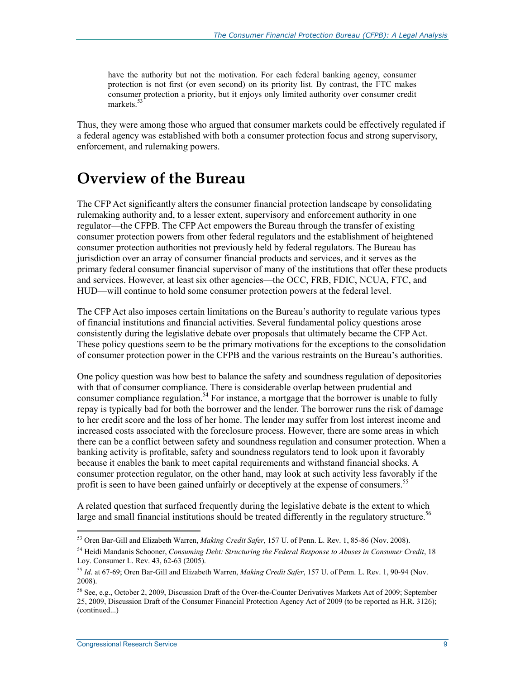have the authority but not the motivation. For each federal banking agency, consumer protection is not first (or even second) on its priority list. By contrast, the FTC makes consumer protection a priority, but it enjoys only limited authority over consumer credit markets.<sup>53</sup>

Thus, they were among those who argued that consumer markets could be effectively regulated if a federal agency was established with both a consumer protection focus and strong supervisory, enforcement, and rulemaking powers.

### **Overview of the Bureau**

The CFP Act significantly alters the consumer financial protection landscape by consolidating rulemaking authority and, to a lesser extent, supervisory and enforcement authority in one regulator—the CFPB. The CFP Act empowers the Bureau through the transfer of existing consumer protection powers from other federal regulators and the establishment of heightened consumer protection authorities not previously held by federal regulators. The Bureau has jurisdiction over an array of consumer financial products and services, and it serves as the primary federal consumer financial supervisor of many of the institutions that offer these products and services. However, at least six other agencies—the OCC, FRB, FDIC, NCUA, FTC, and HUD—will continue to hold some consumer protection powers at the federal level.

The CFP Act also imposes certain limitations on the Bureau's authority to regulate various types of financial institutions and financial activities. Several fundamental policy questions arose consistently during the legislative debate over proposals that ultimately became the CFP Act. These policy questions seem to be the primary motivations for the exceptions to the consolidation of consumer protection power in the CFPB and the various restraints on the Bureau's authorities.

One policy question was how best to balance the safety and soundness regulation of depositories with that of consumer compliance. There is considerable overlap between prudential and consumer compliance regulation.<sup>54</sup> For instance, a mortgage that the borrower is unable to fully repay is typically bad for both the borrower and the lender. The borrower runs the risk of damage to her credit score and the loss of her home. The lender may suffer from lost interest income and increased costs associated with the foreclosure process. However, there are some areas in which there can be a conflict between safety and soundness regulation and consumer protection. When a banking activity is profitable, safety and soundness regulators tend to look upon it favorably because it enables the bank to meet capital requirements and withstand financial shocks. A consumer protection regulator, on the other hand, may look at such activity less favorably if the profit is seen to have been gained unfairly or deceptively at the expense of consumers.<sup>55</sup>

A related question that surfaced frequently during the legislative debate is the extent to which large and small financial institutions should be treated differently in the regulatory structure.<sup>56</sup>

<sup>53</sup> Oren Bar-Gill and Elizabeth Warren, *Making Credit Safer*, 157 U. of Penn. L. Rev. 1, 85-86 (Nov. 2008).

<sup>54</sup> Heidi Mandanis Schooner, *Consuming Debt: Structuring the Federal Response to Abuses in Consumer Credit*, 18 Loy. Consumer L. Rev. 43, 62-63 (2005).

<sup>55</sup> *Id*. at 67-69; Oren Bar-Gill and Elizabeth Warren, *Making Credit Safer*, 157 U. of Penn. L. Rev. 1, 90-94 (Nov. 2008).

<sup>56</sup> See, e.g., October 2, 2009, Discussion Draft of the Over-the-Counter Derivatives Markets Act of 2009; September 25, 2009, Discussion Draft of the Consumer Financial Protection Agency Act of 2009 (to be reported as H.R. 3126); (continued...)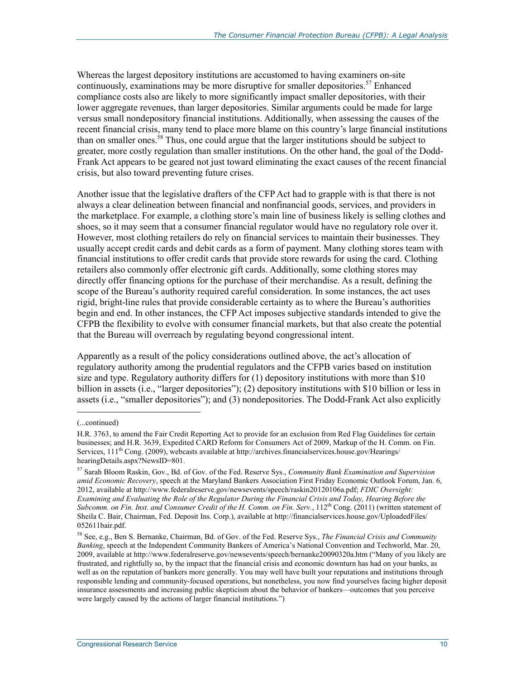Whereas the largest depository institutions are accustomed to having examiners on-site continuously, examinations may be more disruptive for smaller depositories.<sup>57</sup> Enhanced compliance costs also are likely to more significantly impact smaller depositories, with their lower aggregate revenues, than larger depositories. Similar arguments could be made for large versus small nondepository financial institutions. Additionally, when assessing the causes of the recent financial crisis, many tend to place more blame on this country's large financial institutions than on smaller ones.<sup>58</sup> Thus, one could argue that the larger institutions should be subject to greater, more costly regulation than smaller institutions. On the other hand, the goal of the Dodd-Frank Act appears to be geared not just toward eliminating the exact causes of the recent financial crisis, but also toward preventing future crises.

Another issue that the legislative drafters of the CFP Act had to grapple with is that there is not always a clear delineation between financial and nonfinancial goods, services, and providers in the marketplace. For example, a clothing store's main line of business likely is selling clothes and shoes, so it may seem that a consumer financial regulator would have no regulatory role over it. However, most clothing retailers do rely on financial services to maintain their businesses. They usually accept credit cards and debit cards as a form of payment. Many clothing stores team with financial institutions to offer credit cards that provide store rewards for using the card. Clothing retailers also commonly offer electronic gift cards. Additionally, some clothing stores may directly offer financing options for the purchase of their merchandise. As a result, defining the scope of the Bureau's authority required careful consideration. In some instances, the act uses rigid, bright-line rules that provide considerable certainty as to where the Bureau's authorities begin and end. In other instances, the CFP Act imposes subjective standards intended to give the CFPB the flexibility to evolve with consumer financial markets, but that also create the potential that the Bureau will overreach by regulating beyond congressional intent.

Apparently as a result of the policy considerations outlined above, the act's allocation of regulatory authority among the prudential regulators and the CFPB varies based on institution size and type. Regulatory authority differs for (1) depository institutions with more than \$10 billion in assets (i.e., "larger depositories"); (2) depository institutions with \$10 billion or less in assets (i.e., "smaller depositories"); and (3) nondepositories. The Dodd-Frank Act also explicitly

<sup>(...</sup>continued)

H.R. 3763, to amend the Fair Credit Reporting Act to provide for an exclusion from Red Flag Guidelines for certain businesses; and H.R. 3639, Expedited CARD Reform for Consumers Act of 2009, Markup of the H. Comm. on Fin. Services, 111<sup>th</sup> Cong. (2009), webcasts available at http://archives.financialservices.house.gov/Hearings/ hearingDetails.aspx?NewsID=801.

<sup>57</sup> Sarah Bloom Raskin, Gov., Bd. of Gov. of the Fed. Reserve Sys., *Community Bank Examination and Supervision amid Economic Recovery*, speech at the Maryland Bankers Association First Friday Economic Outlook Forum, Jan. 6, 2012, available at http://www.federalreserve.gov/newsevents/speech/raskin20120106a.pdf; *FDIC Oversight: Examining and Evaluating the Role of the Regulator During the Financial Crisis and Today, Hearing Before the Subcomm. on Fin. Inst. and Consumer Credit of the H. Comm. on Fin. Serv.*, 112<sup>th</sup> Cong. (2011) (written statement of Sheila C. Bair, Chairman, Fed. Deposit Ins. Corp.), available at http://financialservices.house.gov/UploadedFiles/ 052611bair.pdf.

<sup>58</sup> See, e.g., Ben S. Bernanke, Chairman, Bd. of Gov. of the Fed. Reserve Sys., *The Financial Crisis and Community Banking*, speech at the Independent Community Bankers of America's National Convention and Techworld, Mar. 20, 2009, available at http://www.federalreserve.gov/newsevents/speech/bernanke20090320a.htm ("Many of you likely are frustrated, and rightfully so, by the impact that the financial crisis and economic downturn has had on your banks, as well as on the reputation of bankers more generally. You may well have built your reputations and institutions through responsible lending and community-focused operations, but nonetheless, you now find yourselves facing higher deposit insurance assessments and increasing public skepticism about the behavior of bankers—outcomes that you perceive were largely caused by the actions of larger financial institutions.")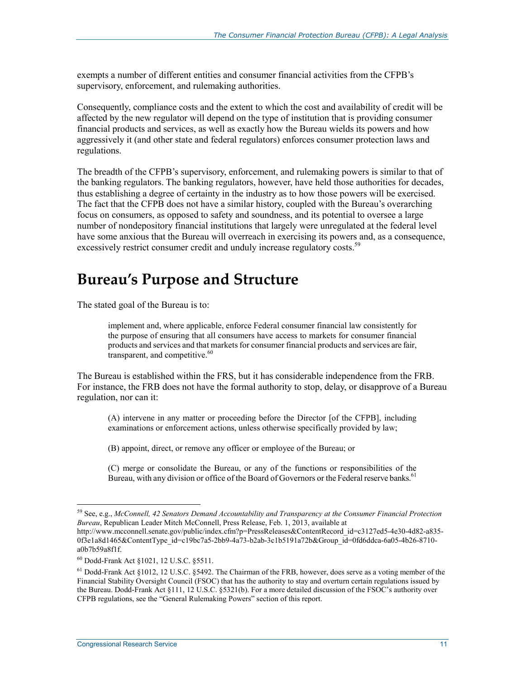exempts a number of different entities and consumer financial activities from the CFPB's supervisory, enforcement, and rulemaking authorities.

Consequently, compliance costs and the extent to which the cost and availability of credit will be affected by the new regulator will depend on the type of institution that is providing consumer financial products and services, as well as exactly how the Bureau wields its powers and how aggressively it (and other state and federal regulators) enforces consumer protection laws and regulations.

The breadth of the CFPB's supervisory, enforcement, and rulemaking powers is similar to that of the banking regulators. The banking regulators, however, have held those authorities for decades, thus establishing a degree of certainty in the industry as to how those powers will be exercised. The fact that the CFPB does not have a similar history, coupled with the Bureau's overarching focus on consumers, as opposed to safety and soundness, and its potential to oversee a large number of nondepository financial institutions that largely were unregulated at the federal level have some anxious that the Bureau will overreach in exercising its powers and, as a consequence, excessively restrict consumer credit and unduly increase regulatory costs.<sup>59</sup>

### **Bureau's Purpose and Structure**

The stated goal of the Bureau is to:

implement and, where applicable, enforce Federal consumer financial law consistently for the purpose of ensuring that all consumers have access to markets for consumer financial products and services and that markets for consumer financial products and services are fair, transparent, and competitive.<sup>60</sup>

The Bureau is established within the FRS, but it has considerable independence from the FRB. For instance, the FRB does not have the formal authority to stop, delay, or disapprove of a Bureau regulation, nor can it:

(A) intervene in any matter or proceeding before the Director [of the CFPB], including examinations or enforcement actions, unless otherwise specifically provided by law;

(B) appoint, direct, or remove any officer or employee of the Bureau; or

(C) merge or consolidate the Bureau, or any of the functions or responsibilities of the Bureau, with any division or office of the Board of Governors or the Federal reserve banks.<sup>61</sup>

<sup>59</sup> See, e.g., *McConnell, 42 Senators Demand Accountability and Transparency at the Consumer Financial Protection Bureau*, Republican Leader Mitch McConnell, Press Release, Feb. 1, 2013, available at

http://www.mcconnell.senate.gov/public/index.cfm?p=PressReleases&ContentRecord\_id=c3127ed5-4e30-4d82-a835-0f3e1a8d1465&ContentType\_id=c19bc7a5-2bb9-4a73-b2ab-3c1b5191a72b&Group\_id=0fd6ddca-6a05-4b26-8710a0b7b59a8f1f.

<sup>60</sup> Dodd-Frank Act §1021, 12 U.S.C. §5511.

<sup>&</sup>lt;sup>61</sup> Dodd-Frank Act §1012, 12 U.S.C. §5492. The Chairman of the FRB, however, does serve as a voting member of the Financial Stability Oversight Council (FSOC) that has the authority to stay and overturn certain regulations issued by the Bureau. Dodd-Frank Act §111, 12 U.S.C. §5321(b). For a more detailed discussion of the FSOC's authority over CFPB regulations, see the "General Rulemaking Powers" section of this report.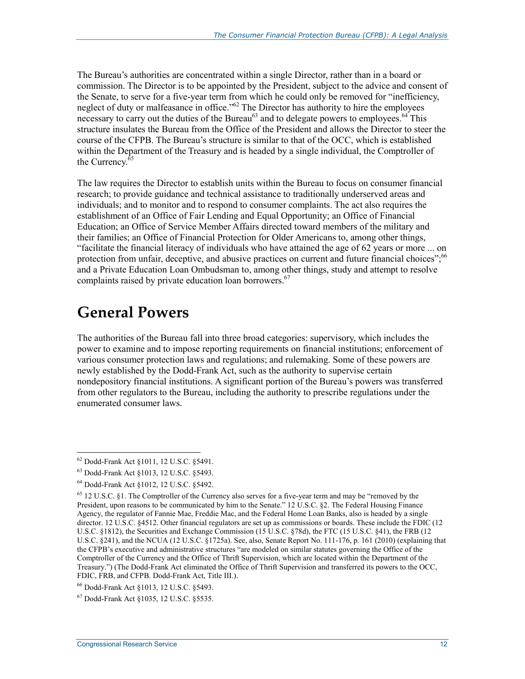The Bureau's authorities are concentrated within a single Director, rather than in a board or commission. The Director is to be appointed by the President, subject to the advice and consent of the Senate, to serve for a five-year term from which he could only be removed for "inefficiency, neglect of duty or malfeasance in office."<sup>62</sup> The Director has authority to hire the employees necessary to carry out the duties of the Bureau $^{63}$  and to delegate powers to employees.  $^{64}$  This structure insulates the Bureau from the Office of the President and allows the Director to steer the course of the CFPB. The Bureau's structure is similar to that of the OCC, which is established within the Department of the Treasury and is headed by a single individual, the Comptroller of the Currency.<sup>65</sup>

The law requires the Director to establish units within the Bureau to focus on consumer financial research; to provide guidance and technical assistance to traditionally underserved areas and individuals; and to monitor and to respond to consumer complaints. The act also requires the establishment of an Office of Fair Lending and Equal Opportunity; an Office of Financial Education; an Office of Service Member Affairs directed toward members of the military and their families; an Office of Financial Protection for Older Americans to, among other things, "facilitate the financial literacy of individuals who have attained the age of 62 years or more ... on protection from unfair, deceptive, and abusive practices on current and future financial choices";<sup>66</sup> and a Private Education Loan Ombudsman to, among other things, study and attempt to resolve complaints raised by private education loan borrowers.<sup>67</sup>

### **General Powers**

The authorities of the Bureau fall into three broad categories: supervisory, which includes the power to examine and to impose reporting requirements on financial institutions; enforcement of various consumer protection laws and regulations; and rulemaking. Some of these powers are newly established by the Dodd-Frank Act, such as the authority to supervise certain nondepository financial institutions. A significant portion of the Bureau's powers was transferred from other regulators to the Bureau, including the authority to prescribe regulations under the enumerated consumer laws.

<sup>62</sup> Dodd-Frank Act §1011, 12 U.S.C. §5491.

<sup>63</sup> Dodd-Frank Act §1013, 12 U.S.C. §5493.

<sup>64</sup> Dodd-Frank Act §1012, 12 U.S.C. §5492.

<sup>&</sup>lt;sup>65</sup> 12 U.S.C. §1. The Comptroller of the Currency also serves for a five-year term and may be "removed by the President, upon reasons to be communicated by him to the Senate." 12 U.S.C. §2. The Federal Housing Finance Agency, the regulator of Fannie Mae, Freddie Mac, and the Federal Home Loan Banks, also is headed by a single director. 12 U.S.C. §4512. Other financial regulators are set up as commissions or boards. These include the FDIC (12 U.S.C. §1812), the Securities and Exchange Commission (15 U.S.C. §78d), the FTC (15 U.S.C. §41), the FRB (12 U.S.C. §241), and the NCUA (12 U.S.C. §1725a). See, also, Senate Report No. 111-176, p. 161 (2010) (explaining that the CFPB's executive and administrative structures "are modeled on similar statutes governing the Office of the Comptroller of the Currency and the Office of Thrift Supervision, which are located within the Department of the Treasury.") (The Dodd-Frank Act eliminated the Office of Thrift Supervision and transferred its powers to the OCC, FDIC, FRB, and CFPB. Dodd-Frank Act, Title III.).

<sup>66</sup> Dodd-Frank Act §1013, 12 U.S.C. §5493.

<sup>67</sup> Dodd-Frank Act §1035, 12 U.S.C. §5535.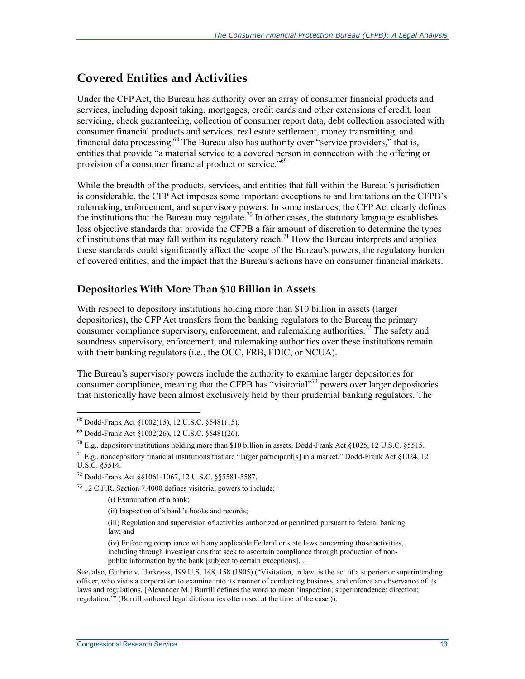### **Covered Entities and Activities**

Under the CFP Act, the Bureau has authority over an array of consumer financial products and services, including deposit taking, mortgages, credit cards and other extensions of credit, loan servicing, check guaranteeing, collection of consumer report data, debt collection associated with consumer financial products and services, real estate settlement, money transmitting, and financial data processing.<sup>68</sup> The Bureau also has authority over "service providers," that is, entities that provide "a material service to a covered person in connection with the offering or provision of a consumer financial product or service.<sup>"69</sup>

While the breadth of the products, services, and entities that fall within the Bureau's jurisdiction is considerable, the CFP Act imposes some important exceptions to and limitations on the CFPB's rulemaking, enforcement, and supervisory powers. In some instances, the CFP Act clearly defines the institutions that the Bureau may regulate.<sup>70</sup> In other cases, the statutory language establishes less objective standards that provide the CFPB a fair amount of discretion to determine the types of institutions that may fall within its regulatory reach.<sup>71</sup> How the Bureau interprets and applies these standards could significantly affect the scope of the Bureau's powers, the regulatory burden of covered entities, and the impact that the Bureau's actions have on consumer financial markets.

#### **Depositories With More Than \$10 Billion in Assets**

With respect to depository institutions holding more than \$10 billion in assets (larger depositories), the CFP Act transfers from the banking regulators to the Bureau the primary consumer compliance supervisory, enforcement, and rulemaking authorities.<sup>72</sup> The safety and soundness supervisory, enforcement, and rulemaking authorities over these institutions remain with their banking regulators (i.e., the OCC, FRB, FDIC, or NCUA).

The Bureau's supervisory powers include the authority to examine larger depositories for consumer compliance, meaning that the CFPB has "visitorial"73 powers over larger depositories that historically have been almost exclusively held by their prudential banking regulators. The

1

73 12 C.F.R. Section 7.4000 defines visitorial powers to include:

(i) Examination of a bank;

(ii) Inspection of a bank's books and records;

(iii) Regulation and supervision of activities authorized or permitted pursuant to federal banking law; and

(iv) Enforcing compliance with any applicable Federal or state laws concerning those activities, including through investigations that seek to ascertain compliance through production of nonpublic information by the bank [subject to certain exceptions]....

<sup>68</sup> Dodd-Frank Act §1002(15), 12 U.S.C. §5481(15).

<sup>69</sup> Dodd-Frank Act §1002(26), 12 U.S.C. §5481(26).

 $^{70}$  E.g., depository institutions holding more than \$10 billion in assets. Dodd-Frank Act §1025, 12 U.S.C. §5515.

<sup>&</sup>lt;sup>71</sup> E.g., nondepository financial institutions that are "larger participant[s] in a market." Dodd-Frank Act §1024, 12 U.S.C. §5514.

<sup>72</sup> Dodd-Frank Act §§1061-1067, 12 U.S.C. §§5581-5587.

See, also, Guthrie v. Harkness, 199 U.S. 148, 158 (1905) ("Visitation, in law, is the act of a superior or superintending officer, who visits a corporation to examine into its manner of conducting business, and enforce an observance of its laws and regulations. [Alexander M.] Burrill defines the word to mean 'inspection; superintendence; direction; regulation.'" (Burrill authored legal dictionaries often used at the time of the case.)).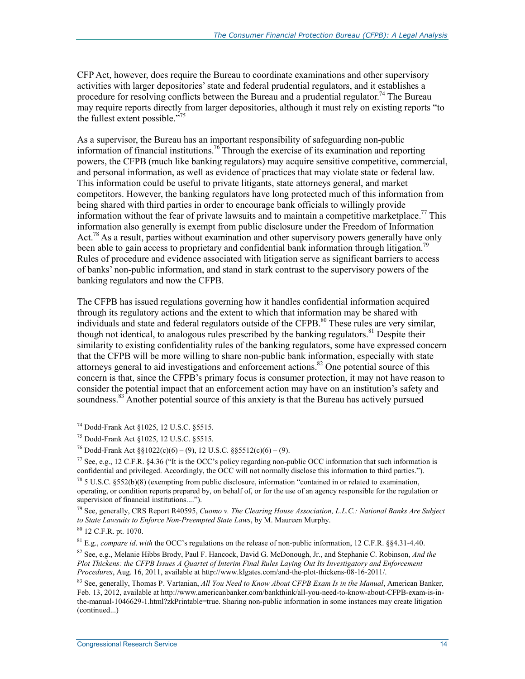CFP Act, however, does require the Bureau to coordinate examinations and other supervisory activities with larger depositories' state and federal prudential regulators, and it establishes a procedure for resolving conflicts between the Bureau and a prudential regulator.<sup>74</sup> The Bureau may require reports directly from larger depositories, although it must rely on existing reports "to the fullest extent possible."<sup>75</sup>

As a supervisor, the Bureau has an important responsibility of safeguarding non-public information of financial institutions.76 Through the exercise of its examination and reporting powers, the CFPB (much like banking regulators) may acquire sensitive competitive, commercial, and personal information, as well as evidence of practices that may violate state or federal law. This information could be useful to private litigants, state attorneys general, and market competitors. However, the banking regulators have long protected much of this information from being shared with third parties in order to encourage bank officials to willingly provide information without the fear of private lawsuits and to maintain a competitive marketplace.<sup>77</sup> This information also generally is exempt from public disclosure under the Freedom of Information Act.<sup>78</sup> As a result, parties without examination and other supervisory powers generally have only been able to gain access to proprietary and confidential bank information through litigation.<sup>79</sup> Rules of procedure and evidence associated with litigation serve as significant barriers to access of banks' non-public information, and stand in stark contrast to the supervisory powers of the banking regulators and now the CFPB.

The CFPB has issued regulations governing how it handles confidential information acquired through its regulatory actions and the extent to which that information may be shared with individuals and state and federal regulators outside of the CFPB.<sup>80</sup> These rules are very similar, though not identical, to analogous rules prescribed by the banking regulators.<sup>81</sup> Despite their similarity to existing confidentiality rules of the banking regulators, some have expressed concern that the CFPB will be more willing to share non-public bank information, especially with state attorneys general to aid investigations and enforcement actions. $82$  One potential source of this concern is that, since the CFPB's primary focus is consumer protection, it may not have reason to consider the potential impact that an enforcement action may have on an institution's safety and soundness.<sup>83</sup> Another potential source of this anxiety is that the Bureau has actively pursued

<sup>74</sup> Dodd-Frank Act §1025, 12 U.S.C. §5515.

<sup>75</sup> Dodd-Frank Act §1025, 12 U.S.C. §5515.

<sup>&</sup>lt;sup>76</sup> Dodd-Frank Act  $\frac{\delta 1022(c)(6) - (9)}{2}$ , 12 U.S.C.  $\frac{\delta 5512(c)(6) - (9)}{2}$ .

<sup>&</sup>lt;sup>77</sup> See, e.g., 12 C.F.R. §4.36 ("It is the OCC's policy regarding non-public OCC information that such information is confidential and privileged. Accordingly, the OCC will not normally disclose this information to third parties.").

 $78$  5 U.S.C. §552(b)(8) (exempting from public disclosure, information "contained in or related to examination, operating, or condition reports prepared by, on behalf of, or for the use of an agency responsible for the regulation or supervision of financial institutions....").

<sup>79</sup> See, generally, CRS Report R40595, *Cuomo v. The Clearing House Association, L.L.C.: National Banks Are Subject to State Lawsuits to Enforce Non-Preempted State Laws*, by M. Maureen Murphy.

<sup>80 12</sup> C.F.R. pt. 1070.

<sup>81</sup> E.g., *compare id*. *with* the OCC's regulations on the release of non-public information, 12 C.F.R. §§4.31-4.40.

<sup>82</sup> See, e.g., Melanie Hibbs Brody, Paul F. Hancock, David G. McDonough, Jr., and Stephanie C. Robinson, *And the Plot Thickens: the CFPB Issues A Quartet of Interim Final Rules Laying Out Its Investigatory and Enforcement Procedures*, Aug. 16, 2011, available at http://www.klgates.com/and-the-plot-thickens-08-16-2011/.

<sup>83</sup> See, generally, Thomas P. Vartanian, *All You Need to Know About CFPB Exam Is in the Manual*, American Banker, Feb. 13, 2012, available at http://www.americanbanker.com/bankthink/all-you-need-to-know-about-CFPB-exam-is-inthe-manual-1046629-1.html?zkPrintable=true. Sharing non-public information in some instances may create litigation (continued...)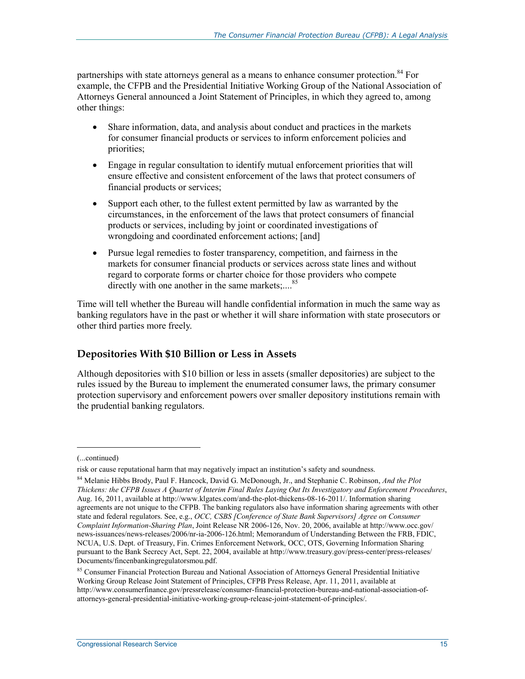partnerships with state attorneys general as a means to enhance consumer protection.<sup>84</sup> For example, the CFPB and the Presidential Initiative Working Group of the National Association of Attorneys General announced a Joint Statement of Principles, in which they agreed to, among other things:

- Share information, data, and analysis about conduct and practices in the markets for consumer financial products or services to inform enforcement policies and priorities;
- Engage in regular consultation to identify mutual enforcement priorities that will ensure effective and consistent enforcement of the laws that protect consumers of financial products or services;
- Support each other, to the fullest extent permitted by law as warranted by the circumstances, in the enforcement of the laws that protect consumers of financial products or services, including by joint or coordinated investigations of wrongdoing and coordinated enforcement actions; [and]
- Pursue legal remedies to foster transparency, competition, and fairness in the markets for consumer financial products or services across state lines and without regard to corporate forms or charter choice for those providers who compete directly with one another in the same markets;....<sup>85</sup>

Time will tell whether the Bureau will handle confidential information in much the same way as banking regulators have in the past or whether it will share information with state prosecutors or other third parties more freely.

#### **Depositories With \$10 Billion or Less in Assets**

Although depositories with \$10 billion or less in assets (smaller depositories) are subject to the rules issued by the Bureau to implement the enumerated consumer laws, the primary consumer protection supervisory and enforcement powers over smaller depository institutions remain with the prudential banking regulators.

 $\overline{a}$ 

<sup>(...</sup>continued)

risk or cause reputational harm that may negatively impact an institution's safety and soundness.

<sup>84</sup> Melanie Hibbs Brody, Paul F. Hancock, David G. McDonough, Jr., and Stephanie C. Robinson, *And the Plot Thickens: the CFPB Issues A Quartet of Interim Final Rules Laying Out Its Investigatory and Enforcement Procedures*, Aug. 16, 2011, available at http://www.klgates.com/and-the-plot-thickens-08-16-2011/. Information sharing agreements are not unique to the CFPB. The banking regulators also have information sharing agreements with other state and federal regulators. See, e.g., *OCC, CSBS [Conference of State Bank Supervisors] Agree on Consumer Complaint Information-Sharing Plan*, Joint Release NR 2006-126, Nov. 20, 2006, available at http://www.occ.gov/ news-issuances/news-releases/2006/nr-ia-2006-126.html; Memorandum of Understanding Between the FRB, FDIC, NCUA, U.S. Dept. of Treasury, Fin. Crimes Enforcement Network, OCC, OTS, Governing Information Sharing pursuant to the Bank Secrecy Act, Sept. 22, 2004, available at http://www.treasury.gov/press-center/press-releases/ Documents/fincenbankingregulatorsmou.pdf.

<sup>85</sup> Consumer Financial Protection Bureau and National Association of Attorneys General Presidential Initiative Working Group Release Joint Statement of Principles, CFPB Press Release, Apr. 11, 2011, available at http://www.consumerfinance.gov/pressrelease/consumer-financial-protection-bureau-and-national-association-ofattorneys-general-presidential-initiative-working-group-release-joint-statement-of-principles/.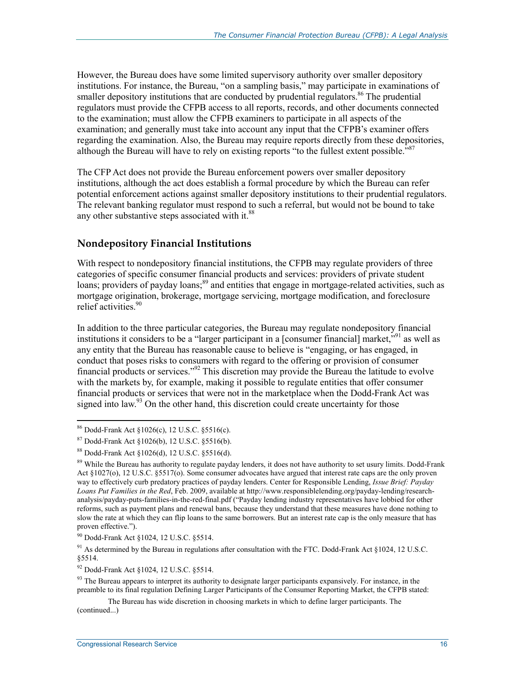However, the Bureau does have some limited supervisory authority over smaller depository institutions. For instance, the Bureau, "on a sampling basis," may participate in examinations of smaller depository institutions that are conducted by prudential regulators.<sup>86</sup> The prudential regulators must provide the CFPB access to all reports, records, and other documents connected to the examination; must allow the CFPB examiners to participate in all aspects of the examination; and generally must take into account any input that the CFPB's examiner offers regarding the examination. Also, the Bureau may require reports directly from these depositories, although the Bureau will have to rely on existing reports "to the fullest extent possible.<sup>"87</sup>

The CFP Act does not provide the Bureau enforcement powers over smaller depository institutions, although the act does establish a formal procedure by which the Bureau can refer potential enforcement actions against smaller depository institutions to their prudential regulators. The relevant banking regulator must respond to such a referral, but would not be bound to take any other substantive steps associated with it.<sup>88</sup>

#### **Nondepository Financial Institutions**

With respect to nondepository financial institutions, the CFPB may regulate providers of three categories of specific consumer financial products and services: providers of private student loans; providers of payday loans;<sup>89</sup> and entities that engage in mortgage-related activities, such as mortgage origination, brokerage, mortgage servicing, mortgage modification, and foreclosure relief activities.<sup>90</sup>

In addition to the three particular categories, the Bureau may regulate nondepository financial institutions it considers to be a "larger participant in a [consumer financial] market,<sup>"91</sup> as well as any entity that the Bureau has reasonable cause to believe is "engaging, or has engaged, in conduct that poses risks to consumers with regard to the offering or provision of consumer financial products or services."92 This discretion may provide the Bureau the latitude to evolve with the markets by, for example, making it possible to regulate entities that offer consumer financial products or services that were not in the marketplace when the Dodd-Frank Act was signed into law.<sup>93</sup> On the other hand, this discretion could create uncertainty for those

<sup>86</sup> Dodd-Frank Act §1026(c), 12 U.S.C. §5516(c).

<sup>87</sup> Dodd-Frank Act §1026(b), 12 U.S.C. §5516(b).

<sup>88</sup> Dodd-Frank Act §1026(d), 12 U.S.C. §5516(d).

<sup>&</sup>lt;sup>89</sup> While the Bureau has authority to regulate payday lenders, it does not have authority to set usury limits. Dodd-Frank Act §1027(o), 12 U.S.C. §5517(o). Some consumer advocates have argued that interest rate caps are the only proven way to effectively curb predatory practices of payday lenders. Center for Responsible Lending, *Issue Brief: Payday Loans Put Families in the Red*, Feb. 2009, available at http://www.responsiblelending.org/payday-lending/researchanalysis/payday-puts-families-in-the-red-final.pdf ("Payday lending industry representatives have lobbied for other reforms, such as payment plans and renewal bans, because they understand that these measures have done nothing to slow the rate at which they can flip loans to the same borrowers. But an interest rate cap is the only measure that has proven effective.").

<sup>90</sup> Dodd-Frank Act §1024, 12 U.S.C. §5514.

<sup>&</sup>lt;sup>91</sup> As determined by the Bureau in regulations after consultation with the FTC. Dodd-Frank Act  $\S 1024$ , 12 U.S.C. §5514.

<sup>92</sup> Dodd-Frank Act §1024, 12 U.S.C. §5514.

 $93$  The Bureau appears to interpret its authority to designate larger participants expansively. For instance, in the preamble to its final regulation Defining Larger Participants of the Consumer Reporting Market, the CFPB stated:

The Bureau has wide discretion in choosing markets in which to define larger participants. The (continued...)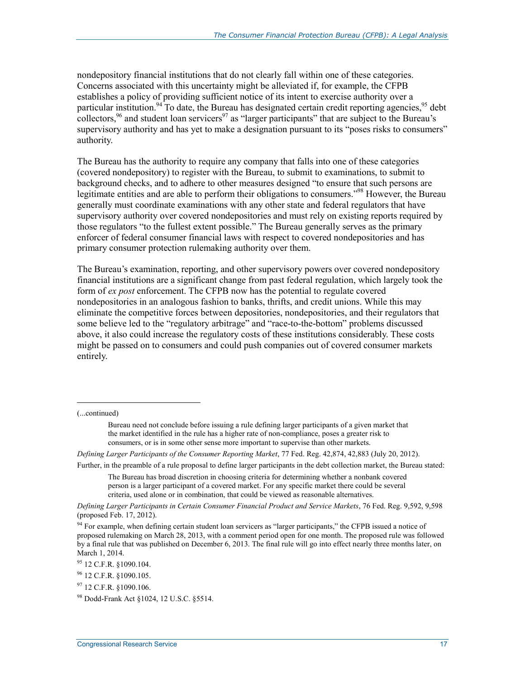nondepository financial institutions that do not clearly fall within one of these categories. Concerns associated with this uncertainty might be alleviated if, for example, the CFPB establishes a policy of providing sufficient notice of its intent to exercise authority over a particular institution.<sup>94</sup> To date, the Bureau has designated certain credit reporting agencies,  $\frac{95}{10}$  debt collectors,  $^{96}$  and student loan servicers  $^{97}$  as "larger participants" that are subject to the Bureau's supervisory authority and has yet to make a designation pursuant to its "poses risks to consumers" authority.

The Bureau has the authority to require any company that falls into one of these categories (covered nondepository) to register with the Bureau, to submit to examinations, to submit to background checks, and to adhere to other measures designed "to ensure that such persons are legitimate entities and are able to perform their obligations to consumers.<sup>"98</sup> However, the Bureau generally must coordinate examinations with any other state and federal regulators that have supervisory authority over covered nondepositories and must rely on existing reports required by those regulators "to the fullest extent possible." The Bureau generally serves as the primary enforcer of federal consumer financial laws with respect to covered nondepositories and has primary consumer protection rulemaking authority over them.

The Bureau's examination, reporting, and other supervisory powers over covered nondepository financial institutions are a significant change from past federal regulation, which largely took the form of *ex post* enforcement. The CFPB now has the potential to regulate covered nondepositories in an analogous fashion to banks, thrifts, and credit unions. While this may eliminate the competitive forces between depositories, nondepositories, and their regulators that some believe led to the "regulatory arbitrage" and "race-to-the-bottom" problems discussed above, it also could increase the regulatory costs of these institutions considerably. These costs might be passed on to consumers and could push companies out of covered consumer markets entirely.

 $\overline{a}$ 

*Defining Larger Participants of the Consumer Reporting Market*, 77 Fed. Reg. 42,874, 42,883 (July 20, 2012).

Further, in the preamble of a rule proposal to define larger participants in the debt collection market, the Bureau stated:

The Bureau has broad discretion in choosing criteria for determining whether a nonbank covered person is a larger participant of a covered market. For any specific market there could be several criteria, used alone or in combination, that could be viewed as reasonable alternatives.

*Defining Larger Participants in Certain Consumer Financial Product and Service Markets*, 76 Fed. Reg. 9,592, 9,598 (proposed Feb. 17, 2012).

<sup>94</sup> For example, when defining certain student loan servicers as "larger participants," the CFPB issued a notice of proposed rulemaking on March 28, 2013, with a comment period open for one month. The proposed rule was followed by a final rule that was published on December 6, 2013. The final rule will go into effect nearly three months later, on March 1, 2014.

95 12 C.F.R. §1090.104.

<sup>(...</sup>continued)

Bureau need not conclude before issuing a rule defining larger participants of a given market that the market identified in the rule has a higher rate of non-compliance, poses a greater risk to consumers, or is in some other sense more important to supervise than other markets.

<sup>96 12</sup> C.F.R. §1090.105.

<sup>97 12</sup> C.F.R. §1090.106.

<sup>98</sup> Dodd-Frank Act §1024, 12 U.S.C. §5514.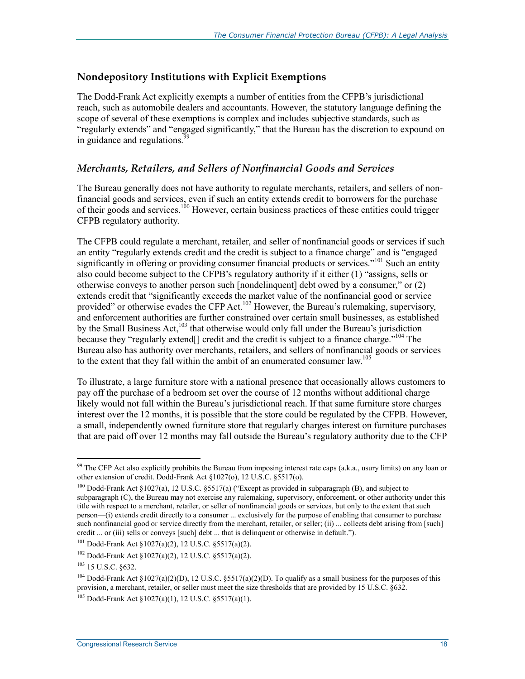#### **Nondepository Institutions with Explicit Exemptions**

The Dodd-Frank Act explicitly exempts a number of entities from the CFPB's jurisdictional reach, such as automobile dealers and accountants. However, the statutory language defining the scope of several of these exemptions is complex and includes subjective standards, such as "regularly extends" and "engaged significantly," that the Bureau has the discretion to expound on in guidance and regulations.<sup>99</sup>

#### *Merchants, Retailers, and Sellers of Nonfinancial Goods and Services*

The Bureau generally does not have authority to regulate merchants, retailers, and sellers of nonfinancial goods and services, even if such an entity extends credit to borrowers for the purchase of their goods and services.<sup>100</sup> However, certain business practices of these entities could trigger CFPB regulatory authority.

The CFPB could regulate a merchant, retailer, and seller of nonfinancial goods or services if such an entity "regularly extends credit and the credit is subject to a finance charge" and is "engaged significantly in offering or providing consumer financial products or services."<sup>101</sup> Such an entity also could become subject to the CFPB's regulatory authority if it either (1) "assigns, sells or otherwise conveys to another person such [nondelinquent] debt owed by a consumer," or (2) extends credit that "significantly exceeds the market value of the nonfinancial good or service provided" or otherwise evades the CFP Act.<sup>102</sup> However, the Bureau's rulemaking, supervisory, and enforcement authorities are further constrained over certain small businesses, as established by the Small Business Act,<sup>103</sup> that otherwise would only fall under the Bureau's jurisdiction because they "regularly extend<sup>[]</sup> credit and the credit is subject to a finance charge."<sup>104</sup> The Bureau also has authority over merchants, retailers, and sellers of nonfinancial goods or services to the extent that they fall within the ambit of an enumerated consumer law.<sup>105</sup>

To illustrate, a large furniture store with a national presence that occasionally allows customers to pay off the purchase of a bedroom set over the course of 12 months without additional charge likely would not fall within the Bureau's jurisdictional reach. If that same furniture store charges interest over the 12 months, it is possible that the store could be regulated by the CFPB. However, a small, independently owned furniture store that regularly charges interest on furniture purchases that are paid off over 12 months may fall outside the Bureau's regulatory authority due to the CFP

<u>.</u>

<sup>&</sup>lt;sup>99</sup> The CFP Act also explicitly prohibits the Bureau from imposing interest rate caps (a.k.a., usury limits) on any loan or other extension of credit. Dodd-Frank Act §1027(o), 12 U.S.C. §5517(o).

<sup>100</sup> Dodd-Frank Act §1027(a), 12 U.S.C. §5517(a) ("Except as provided in subparagraph (B), and subject to subparagraph (C), the Bureau may not exercise any rulemaking, supervisory, enforcement, or other authority under this title with respect to a merchant, retailer, or seller of nonfinancial goods or services, but only to the extent that such person—(i) extends credit directly to a consumer ... exclusively for the purpose of enabling that consumer to purchase such nonfinancial good or service directly from the merchant, retailer, or seller; (ii) ... collects debt arising from [such] credit ... or (iii) sells or conveys [such] debt ... that is delinquent or otherwise in default.").

<sup>101</sup> Dodd-Frank Act §1027(a)(2), 12 U.S.C. §5517(a)(2).

<sup>102</sup> Dodd-Frank Act §1027(a)(2), 12 U.S.C. §5517(a)(2).

<sup>103 15</sup> U.S.C. §632.

<sup>&</sup>lt;sup>104</sup> Dodd-Frank Act §1027(a)(2)(D), 12 U.S.C. §5517(a)(2)(D). To qualify as a small business for the purposes of this provision, a merchant, retailer, or seller must meet the size thresholds that are provided by 15 U.S.C. §632.

<sup>105</sup> Dodd-Frank Act §1027(a)(1), 12 U.S.C. §5517(a)(1).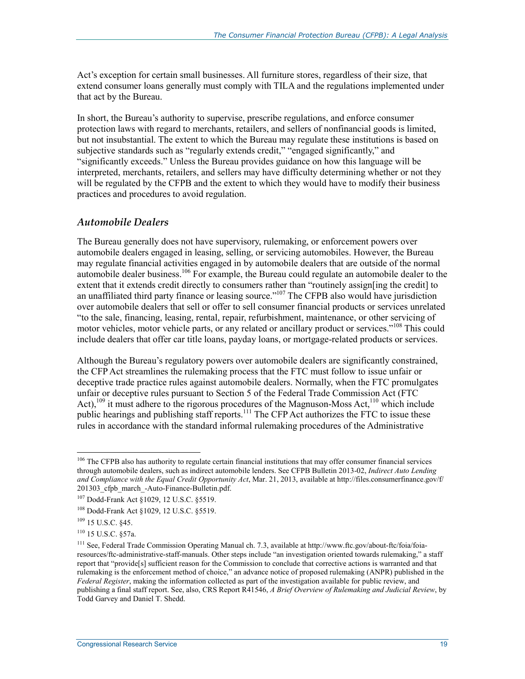Act's exception for certain small businesses. All furniture stores, regardless of their size, that extend consumer loans generally must comply with TILA and the regulations implemented under that act by the Bureau.

In short, the Bureau's authority to supervise, prescribe regulations, and enforce consumer protection laws with regard to merchants, retailers, and sellers of nonfinancial goods is limited, but not insubstantial. The extent to which the Bureau may regulate these institutions is based on subjective standards such as "regularly extends credit," "engaged significantly," and "significantly exceeds." Unless the Bureau provides guidance on how this language will be interpreted, merchants, retailers, and sellers may have difficulty determining whether or not they will be regulated by the CFPB and the extent to which they would have to modify their business practices and procedures to avoid regulation.

#### *Automobile Dealers*

The Bureau generally does not have supervisory, rulemaking, or enforcement powers over automobile dealers engaged in leasing, selling, or servicing automobiles. However, the Bureau may regulate financial activities engaged in by automobile dealers that are outside of the normal automobile dealer business.106 For example, the Bureau could regulate an automobile dealer to the extent that it extends credit directly to consumers rather than "routinely assign[ing the credit] to an unaffiliated third party finance or leasing source."<sup>107</sup> The CFPB also would have jurisdiction over automobile dealers that sell or offer to sell consumer financial products or services unrelated "to the sale, financing, leasing, rental, repair, refurbishment, maintenance, or other servicing of motor vehicles, motor vehicle parts, or any related or ancillary product or services."<sup>108</sup> This could include dealers that offer car title loans, payday loans, or mortgage-related products or services.

Although the Bureau's regulatory powers over automobile dealers are significantly constrained, the CFP Act streamlines the rulemaking process that the FTC must follow to issue unfair or deceptive trade practice rules against automobile dealers. Normally, when the FTC promulgates unfair or deceptive rules pursuant to Section 5 of the Federal Trade Commission Act (FTC Act),<sup>109</sup> it must adhere to the rigorous procedures of the Magnuson-Moss Act,<sup>110</sup> which include public hearings and publishing staff reports.<sup>111</sup> The CFP Act authorizes the FTC to issue these rules in accordance with the standard informal rulemaking procedures of the Administrative

<sup>&</sup>lt;sup>106</sup> The CFPB also has authority to regulate certain financial institutions that may offer consumer financial services through automobile dealers, such as indirect automobile lenders. See CFPB Bulletin 2013-02, *Indirect Auto Lending and Compliance with the Equal Credit Opportunity Act*, Mar. 21, 2013, available at http://files.consumerfinance.gov/f/ 201303 cfpb march -Auto-Finance-Bulletin.pdf.

<sup>107</sup> Dodd-Frank Act §1029, 12 U.S.C. §5519.

<sup>108</sup> Dodd-Frank Act §1029, 12 U.S.C. §5519.

<sup>109 15</sup> U.S.C. §45.

<sup>110 15</sup> U.S.C. §57a.

<sup>111</sup> See, Federal Trade Commission Operating Manual ch. 7.3, available at http://www.ftc.gov/about-ftc/foia/foiaresources/ftc-administrative-staff-manuals. Other steps include "an investigation oriented towards rulemaking," a staff report that "provide[s] sufficient reason for the Commission to conclude that corrective actions is warranted and that rulemaking is the enforcement method of choice," an advance notice of proposed rulemaking (ANPR) published in the *Federal Register*, making the information collected as part of the investigation available for public review, and publishing a final staff report. See, also, CRS Report R41546, *A Brief Overview of Rulemaking and Judicial Review*, by Todd Garvey and Daniel T. Shedd.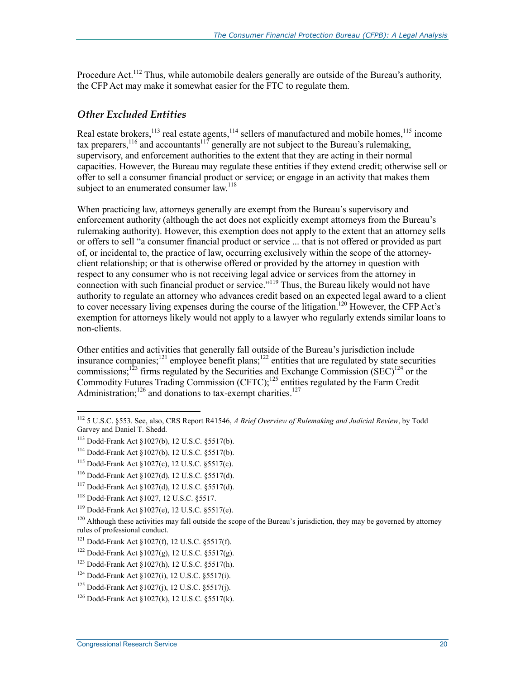Procedure Act.<sup>112</sup> Thus, while automobile dealers generally are outside of the Bureau's authority, the CFP Act may make it somewhat easier for the FTC to regulate them.

#### *Other Excluded Entities*

Real estate brokers,<sup>113</sup> real estate agents,<sup>114</sup> sellers of manufactured and mobile homes,<sup>115</sup> income tax preparers,  $116$  and accountants  $117$  generally are not subject to the Bureau's rulemaking, supervisory, and enforcement authorities to the extent that they are acting in their normal capacities. However, the Bureau may regulate these entities if they extend credit; otherwise sell or offer to sell a consumer financial product or service; or engage in an activity that makes them subject to an enumerated consumer  $law<sup>118</sup>$ 

When practicing law, attorneys generally are exempt from the Bureau's supervisory and enforcement authority (although the act does not explicitly exempt attorneys from the Bureau's rulemaking authority). However, this exemption does not apply to the extent that an attorney sells or offers to sell "a consumer financial product or service ... that is not offered or provided as part of, or incidental to, the practice of law, occurring exclusively within the scope of the attorneyclient relationship; or that is otherwise offered or provided by the attorney in question with respect to any consumer who is not receiving legal advice or services from the attorney in connection with such financial product or service."<sup>119</sup> Thus, the Bureau likely would not have authority to regulate an attorney who advances credit based on an expected legal award to a client to cover necessary living expenses during the course of the litigation.<sup>120</sup> However, the CFP Act's exemption for attorneys likely would not apply to a lawyer who regularly extends similar loans to non-clients.

Other entities and activities that generally fall outside of the Bureau's jurisdiction include insurance companies;<sup>121</sup> employee benefit plans;<sup>122</sup> entities that are regulated by state securities commissions;<sup>123</sup> firms regulated by the Securities and Exchange Commission  $(SEC)^{124}$  or the Commodity Futures Trading Commission (CFTC);<sup>125</sup> entities regulated by the Farm Credit Administration; $^{126}$  and donations to tax-exempt charities. $^{127}$ 

<sup>112 5</sup> U.S.C. §553. See, also, CRS Report R41546, *A Brief Overview of Rulemaking and Judicial Review*, by Todd Garvey and Daniel T. Shedd.

<sup>113</sup> Dodd-Frank Act §1027(b), 12 U.S.C. §5517(b).

<sup>114</sup> Dodd-Frank Act §1027(b), 12 U.S.C. §5517(b).

<sup>115</sup> Dodd-Frank Act §1027(c), 12 U.S.C. §5517(c).

<sup>116</sup> Dodd-Frank Act §1027(d), 12 U.S.C. §5517(d).

<sup>117</sup> Dodd-Frank Act §1027(d), 12 U.S.C. §5517(d).

<sup>118</sup> Dodd-Frank Act §1027, 12 U.S.C. §5517.

<sup>119</sup> Dodd-Frank Act §1027(e), 12 U.S.C. §5517(e).

 $120$  Although these activities may fall outside the scope of the Bureau's jurisdiction, they may be governed by attorney rules of professional conduct.

<sup>121</sup> Dodd-Frank Act §1027(f), 12 U.S.C. §5517(f).

<sup>&</sup>lt;sup>122</sup> Dodd-Frank Act  $\S 1027(g)$ , 12 U.S.C.  $\S 5517(g)$ .

<sup>123</sup> Dodd-Frank Act §1027(h), 12 U.S.C. §5517(h).

<sup>124</sup> Dodd-Frank Act §1027(i), 12 U.S.C. §5517(i).

<sup>125</sup> Dodd-Frank Act §1027(j), 12 U.S.C. §5517(j).

<sup>126</sup> Dodd-Frank Act §1027(k), 12 U.S.C. §5517(k).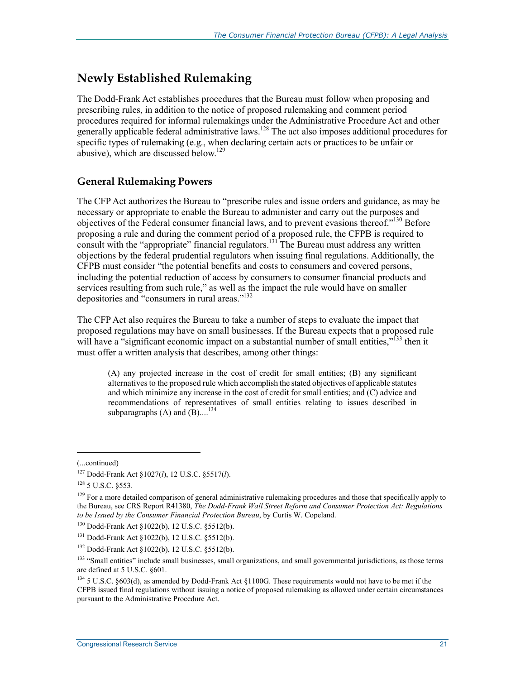### **Newly Established Rulemaking**

The Dodd-Frank Act establishes procedures that the Bureau must follow when proposing and prescribing rules, in addition to the notice of proposed rulemaking and comment period procedures required for informal rulemakings under the Administrative Procedure Act and other generally applicable federal administrative laws.<sup>128</sup> The act also imposes additional procedures for specific types of rulemaking (e.g., when declaring certain acts or practices to be unfair or abusive), which are discussed below.129

#### **General Rulemaking Powers**

The CFP Act authorizes the Bureau to "prescribe rules and issue orders and guidance, as may be necessary or appropriate to enable the Bureau to administer and carry out the purposes and objectives of the Federal consumer financial laws, and to prevent evasions thereof."<sup>130</sup> Before proposing a rule and during the comment period of a proposed rule, the CFPB is required to consult with the "appropriate" financial regulators.<sup>131</sup> The Bureau must address any written objections by the federal prudential regulators when issuing final regulations. Additionally, the CFPB must consider "the potential benefits and costs to consumers and covered persons, including the potential reduction of access by consumers to consumer financial products and services resulting from such rule," as well as the impact the rule would have on smaller depositories and "consumers in rural areas."<sup>132</sup>

The CFP Act also requires the Bureau to take a number of steps to evaluate the impact that proposed regulations may have on small businesses. If the Bureau expects that a proposed rule will have a "significant economic impact on a substantial number of small entities."<sup>133</sup> then it must offer a written analysis that describes, among other things:

(A) any projected increase in the cost of credit for small entities; (B) any significant alternatives to the proposed rule which accomplish the stated objectives of applicable statutes and which minimize any increase in the cost of credit for small entities; and (C) advice and recommendations of representatives of small entities relating to issues described in subparagraphs  $(A)$  and  $(B)$ ....<sup>134</sup>

 $\overline{a}$ 

<sup>(...</sup>continued)

<sup>127</sup> Dodd-Frank Act §1027(*l*), 12 U.S.C. §5517(*l*).

<sup>&</sup>lt;sup>128</sup> 5 U.S.C. §553.

 $129$  For a more detailed comparison of general administrative rulemaking procedures and those that specifically apply to the Bureau, see CRS Report R41380, *The Dodd-Frank Wall Street Reform and Consumer Protection Act: Regulations to be Issued by the Consumer Financial Protection Bureau*, by Curtis W. Copeland.

<sup>130</sup> Dodd-Frank Act §1022(b), 12 U.S.C. §5512(b).

<sup>131</sup> Dodd-Frank Act §1022(b), 12 U.S.C. §5512(b).

<sup>132</sup> Dodd-Frank Act §1022(b), 12 U.S.C. §5512(b).

<sup>&</sup>lt;sup>133</sup> "Small entities" include small businesses, small organizations, and small governmental jurisdictions, as those terms are defined at 5 U.S.C. §601.

<sup>134 5</sup> U.S.C. §603(d), as amended by Dodd-Frank Act §1100G. These requirements would not have to be met if the CFPB issued final regulations without issuing a notice of proposed rulemaking as allowed under certain circumstances pursuant to the Administrative Procedure Act.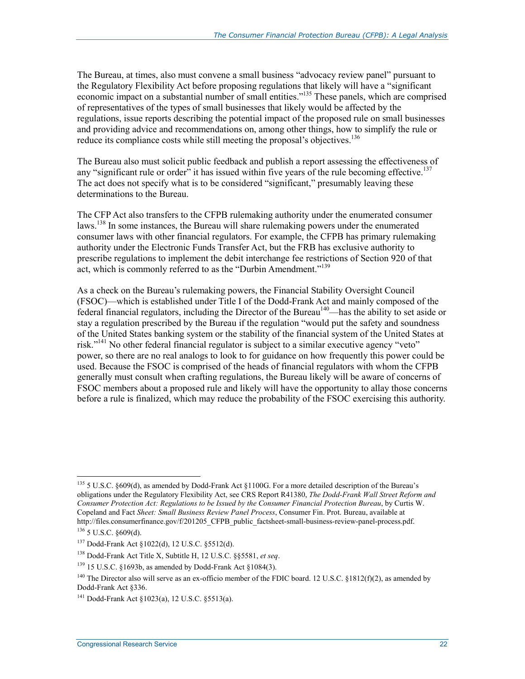The Bureau, at times, also must convene a small business "advocacy review panel" pursuant to the Regulatory Flexibility Act before proposing regulations that likely will have a "significant economic impact on a substantial number of small entities."135 These panels, which are comprised of representatives of the types of small businesses that likely would be affected by the regulations, issue reports describing the potential impact of the proposed rule on small businesses and providing advice and recommendations on, among other things, how to simplify the rule or reduce its compliance costs while still meeting the proposal's objectives.<sup>136</sup>

The Bureau also must solicit public feedback and publish a report assessing the effectiveness of any "significant rule or order" it has issued within five years of the rule becoming effective.<sup>137</sup> The act does not specify what is to be considered "significant," presumably leaving these determinations to the Bureau.

The CFP Act also transfers to the CFPB rulemaking authority under the enumerated consumer laws.<sup>138</sup> In some instances, the Bureau will share rulemaking powers under the enumerated consumer laws with other financial regulators. For example, the CFPB has primary rulemaking authority under the Electronic Funds Transfer Act, but the FRB has exclusive authority to prescribe regulations to implement the debit interchange fee restrictions of Section 920 of that act, which is commonly referred to as the "Durbin Amendment."139

As a check on the Bureau's rulemaking powers, the Financial Stability Oversight Council (FSOC)—which is established under Title I of the Dodd-Frank Act and mainly composed of the federal financial regulators, including the Director of the Bureau<sup>140</sup>—has the ability to set aside or stay a regulation prescribed by the Bureau if the regulation "would put the safety and soundness of the United States banking system or the stability of the financial system of the United States at risk."141 No other federal financial regulator is subject to a similar executive agency "veto" power, so there are no real analogs to look to for guidance on how frequently this power could be used. Because the FSOC is comprised of the heads of financial regulators with whom the CFPB generally must consult when crafting regulations, the Bureau likely will be aware of concerns of FSOC members about a proposed rule and likely will have the opportunity to allay those concerns before a rule is finalized, which may reduce the probability of the FSOC exercising this authority.

<sup>&</sup>lt;sup>135</sup> 5 U.S.C. §609(d), as amended by Dodd-Frank Act §1100G. For a more detailed description of the Bureau's obligations under the Regulatory Flexibility Act, see CRS Report R41380, *The Dodd-Frank Wall Street Reform and Consumer Protection Act: Regulations to be Issued by the Consumer Financial Protection Bureau*, by Curtis W. Copeland and Fact *Sheet: Small Business Review Panel Process*, Consumer Fin. Prot. Bureau, available at http://files.consumerfinance.gov/f/201205 CFPB public factsheet-small-business-review-panel-process.pdf. 136 5 U.S.C. §609(d).

<sup>137</sup> Dodd-Frank Act §1022(d), 12 U.S.C. §5512(d).

<sup>138</sup> Dodd-Frank Act Title X, Subtitle H, 12 U.S.C. §§5581, *et seq*.

 $139$  15 U.S.C. §1693b, as amended by Dodd-Frank Act §1084(3).

<sup>&</sup>lt;sup>140</sup> The Director also will serve as an ex-officio member of the FDIC board. 12 U.S.C. §1812(f)(2), as amended by Dodd-Frank Act §336.

<sup>141</sup> Dodd-Frank Act §1023(a), 12 U.S.C. §5513(a).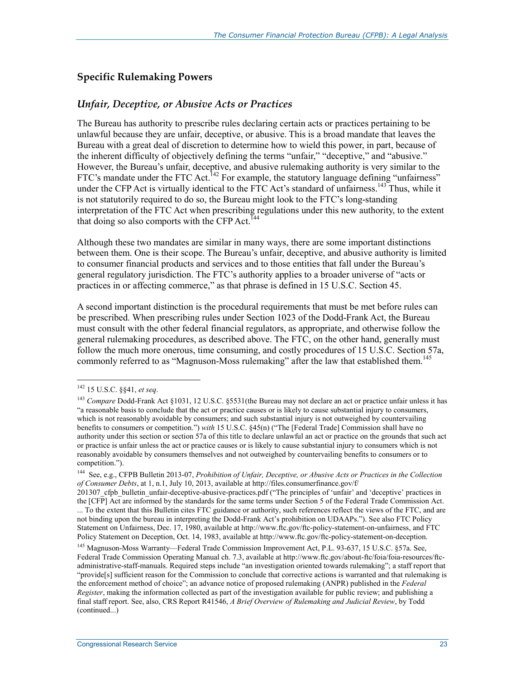#### **Specific Rulemaking Powers**

#### *Unfair, Deceptive, or Abusive Acts or Practices*

The Bureau has authority to prescribe rules declaring certain acts or practices pertaining to be unlawful because they are unfair, deceptive, or abusive. This is a broad mandate that leaves the Bureau with a great deal of discretion to determine how to wield this power, in part, because of the inherent difficulty of objectively defining the terms "unfair," "deceptive," and "abusive." However, the Bureau's unfair, deceptive, and abusive rulemaking authority is very similar to the FTC's mandate under the FTC Act.<sup>142</sup> For example, the statutory language defining "unfairness" under the CFP Act is virtually identical to the FTC Act's standard of unfairness.<sup>143</sup> Thus, while it is not statutorily required to do so, the Bureau might look to the FTC's long-standing interpretation of the FTC Act when prescribing regulations under this new authority, to the extent that doing so also comports with the CFP Act.<sup>144</sup>

Although these two mandates are similar in many ways, there are some important distinctions between them. One is their scope. The Bureau's unfair, deceptive, and abusive authority is limited to consumer financial products and services and to those entities that fall under the Bureau's general regulatory jurisdiction. The FTC's authority applies to a broader universe of "acts or practices in or affecting commerce," as that phrase is defined in 15 U.S.C. Section 45.

A second important distinction is the procedural requirements that must be met before rules can be prescribed. When prescribing rules under Section 1023 of the Dodd-Frank Act, the Bureau must consult with the other federal financial regulators, as appropriate, and otherwise follow the general rulemaking procedures, as described above. The FTC, on the other hand, generally must follow the much more onerous, time consuming, and costly procedures of 15 U.S.C. Section 57a, commonly referred to as "Magnuson-Moss rulemaking" after the law that established them.<sup>145</sup>

<sup>142 15</sup> U.S.C. §§41, *et seq*.

<sup>143</sup> *Compare* Dodd-Frank Act §1031, 12 U.S.C. §5531(the Bureau may not declare an act or practice unfair unless it has "a reasonable basis to conclude that the act or practice causes or is likely to cause substantial injury to consumers, which is not reasonably avoidable by consumers; and such substantial injury is not outweighed by countervailing benefits to consumers or competition.") *with* 15 U.S.C. §45(n) ("The [Federal Trade] Commission shall have no authority under this section or section 57a of this title to declare unlawful an act or practice on the grounds that such act or practice is unfair unless the act or practice causes or is likely to cause substantial injury to consumers which is not reasonably avoidable by consumers themselves and not outweighed by countervailing benefits to consumers or to competition.").

<sup>144</sup> See, e.g., CFPB Bulletin 2013-07, *Prohibition of Unfair, Deceptive, or Abusive Acts or Practices in the Collection of Consumer Debts*, at 1, n.1, July 10, 2013, available at http://files.consumerfinance.gov/f/

<sup>201307</sup> cfpb bulletin unfair-deceptive-abusive-practices.pdf ("The principles of 'unfair' and 'deceptive' practices in the [CFP] Act are informed by the standards for the same terms under Section 5 of the Federal Trade Commission Act. ... To the extent that this Bulletin cites FTC guidance or authority, such references reflect the views of the FTC, and are not binding upon the bureau in interpreting the Dodd-Frank Act's prohibition on UDAAPs."). See also FTC Policy Statement on Unfairness, Dec. 17, 1980, available at http://www.ftc.gov/ftc-policy-statement-on-unfairness, and FTC Policy Statement on Deception, Oct. 14, 1983, available at http://www.ftc.gov/ftc-policy-statement-on-deception.

<sup>145</sup> Magnuson-Moss Warranty—Federal Trade Commission Improvement Act, P.L. 93-637, 15 U.S.C. §57a. See, Federal Trade Commission Operating Manual ch. 7.3, available at http://www.ftc.gov/about-ftc/foia/foia-resources/ftcadministrative-staff-manuals. Required steps include "an investigation oriented towards rulemaking"; a staff report that "provide[s] sufficient reason for the Commission to conclude that corrective actions is warranted and that rulemaking is the enforcement method of choice"; an advance notice of proposed rulemaking (ANPR) published in the *Federal Register*, making the information collected as part of the investigation available for public review; and publishing a final staff report. See, also, CRS Report R41546, *A Brief Overview of Rulemaking and Judicial Review*, by Todd (continued...)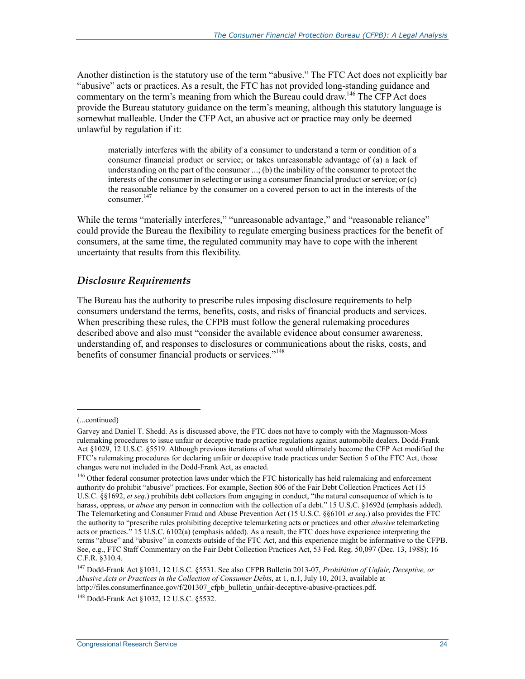Another distinction is the statutory use of the term "abusive." The FTC Act does not explicitly bar "abusive" acts or practices. As a result, the FTC has not provided long-standing guidance and commentary on the term's meaning from which the Bureau could draw.<sup>146</sup> The CFP Act does provide the Bureau statutory guidance on the term's meaning, although this statutory language is somewhat malleable. Under the CFP Act, an abusive act or practice may only be deemed unlawful by regulation if it:

materially interferes with the ability of a consumer to understand a term or condition of a consumer financial product or service; or takes unreasonable advantage of (a) a lack of understanding on the part of the consumer ...; (b) the inability of the consumer to protect the interests of the consumer in selecting or using a consumer financial product or service; or (c) the reasonable reliance by the consumer on a covered person to act in the interests of the consumer.<sup>147</sup>

While the terms "materially interferes," "unreasonable advantage," and "reasonable reliance" could provide the Bureau the flexibility to regulate emerging business practices for the benefit of consumers, at the same time, the regulated community may have to cope with the inherent uncertainty that results from this flexibility.

#### *Disclosure Requirements*

The Bureau has the authority to prescribe rules imposing disclosure requirements to help consumers understand the terms, benefits, costs, and risks of financial products and services. When prescribing these rules, the CFPB must follow the general rulemaking procedures described above and also must "consider the available evidence about consumer awareness, understanding of, and responses to disclosures or communications about the risks, costs, and benefits of consumer financial products or services."<sup>148</sup>

<sup>(...</sup>continued)

Garvey and Daniel T. Shedd. As is discussed above, the FTC does not have to comply with the Magnusson-Moss rulemaking procedures to issue unfair or deceptive trade practice regulations against automobile dealers. Dodd-Frank Act §1029, 12 U.S.C. §5519. Although previous iterations of what would ultimately become the CFP Act modified the FTC's rulemaking procedures for declaring unfair or deceptive trade practices under Section 5 of the FTC Act, those changes were not included in the Dodd-Frank Act, as enacted.

<sup>&</sup>lt;sup>146</sup> Other federal consumer protection laws under which the FTC historically has held rulemaking and enforcement authority do prohibit "abusive" practices. For example, Section 806 of the Fair Debt Collection Practices Act (15 U.S.C. §§1692, *et seq*.) prohibits debt collectors from engaging in conduct, "the natural consequence of which is to harass, oppress, or *abuse* any person in connection with the collection of a debt." 15 U.S.C. §1692d (emphasis added). The Telemarketing and Consumer Fraud and Abuse Prevention Act (15 U.S.C. §§6101 *et seq*.) also provides the FTC the authority to "prescribe rules prohibiting deceptive telemarketing acts or practices and other *abusive* telemarketing acts or practices." 15 U.S.C. 6102(a) (emphasis added). As a result, the FTC does have experience interpreting the terms "abuse" and "abusive" in contexts outside of the FTC Act, and this experience might be informative to the CFPB. See, e.g., FTC Staff Commentary on the Fair Debt Collection Practices Act, 53 Fed. Reg. 50,097 (Dec. 13, 1988); 16 C.F.R. §310.4.

<sup>147</sup> Dodd-Frank Act §1031, 12 U.S.C. §5531. See also CFPB Bulletin 2013-07, *Prohibition of Unfair, Deceptive, or Abusive Acts or Practices in the Collection of Consumer Debts*, at 1, n.1, July 10, 2013, available at http://files.consumerfinance.gov/f/201307 cfpb bulletin unfair-deceptive-abusive-practices.pdf.

<sup>148</sup> Dodd-Frank Act §1032, 12 U.S.C. §5532.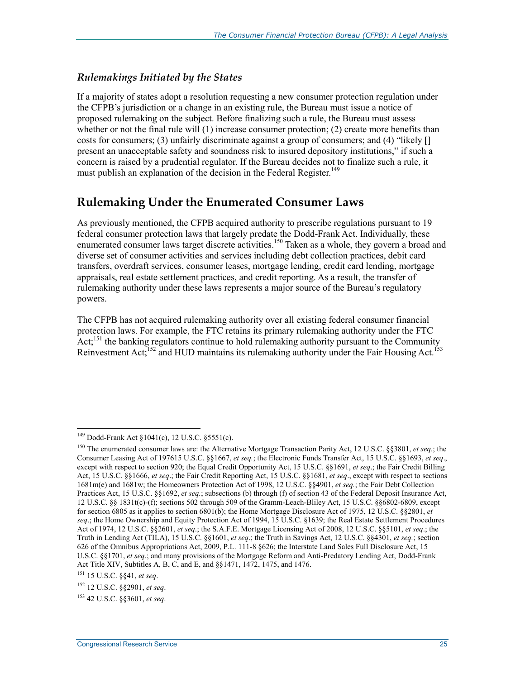#### *Rulemakings Initiated by the States*

If a majority of states adopt a resolution requesting a new consumer protection regulation under the CFPB's jurisdiction or a change in an existing rule, the Bureau must issue a notice of proposed rulemaking on the subject. Before finalizing such a rule, the Bureau must assess whether or not the final rule will (1) increase consumer protection; (2) create more benefits than costs for consumers; (3) unfairly discriminate against a group of consumers; and (4) "likely [] present an unacceptable safety and soundness risk to insured depository institutions," if such a concern is raised by a prudential regulator. If the Bureau decides not to finalize such a rule, it must publish an explanation of the decision in the Federal Register.<sup>149</sup>

### **Rulemaking Under the Enumerated Consumer Laws**

As previously mentioned, the CFPB acquired authority to prescribe regulations pursuant to 19 federal consumer protection laws that largely predate the Dodd-Frank Act. Individually, these enumerated consumer laws target discrete activities.<sup>150</sup> Taken as a whole, they govern a broad and diverse set of consumer activities and services including debt collection practices, debit card transfers, overdraft services, consumer leases, mortgage lending, credit card lending, mortgage appraisals, real estate settlement practices, and credit reporting. As a result, the transfer of rulemaking authority under these laws represents a major source of the Bureau's regulatory powers.

The CFPB has not acquired rulemaking authority over all existing federal consumer financial protection laws. For example, the FTC retains its primary rulemaking authority under the FTC Act;<sup>151</sup> the banking regulators continue to hold rulemaking authority pursuant to the Community Reinvestment Act;<sup>152</sup> and HUD maintains its rulemaking authority under the Fair Housing Act.<sup>153</sup>

<sup>149</sup> Dodd-Frank Act §1041(c), 12 U.S.C. §5551(c).

<sup>150</sup> The enumerated consumer laws are: the Alternative Mortgage Transaction Parity Act, 12 U.S.C. §§3801, *et seq.*; the Consumer Leasing Act of 197615 U.S.C. §§1667, *et seq.*; the Electronic Funds Transfer Act, 15 U.S.C. §§1693, *et seq*., except with respect to section 920; the Equal Credit Opportunity Act, 15 U.S.C. §§1691, *et seq*.; the Fair Credit Billing Act, 15 U.S.C. §§1666, *et seq*.; the Fair Credit Reporting Act, 15 U.S.C. §§1681, *et seq*., except with respect to sections 1681m(e) and 1681w; the Homeowners Protection Act of 1998, 12 U.S.C. §§4901, *et seq.*; the Fair Debt Collection Practices Act, 15 U.S.C. §§1692, *et seq.*; subsections (b) through (f) of section 43 of the Federal Deposit Insurance Act, 12 U.S.C. §§ 1831t(c)-(f); sections 502 through 509 of the Gramm-Leach-Bliley Act, 15 U.S.C. §§6802-6809, except for section 6805 as it applies to section 6801(b); the Home Mortgage Disclosure Act of 1975, 12 U.S.C. §§2801, *et seq*.; the Home Ownership and Equity Protection Act of 1994, 15 U.S.C. §1639; the Real Estate Settlement Procedures Act of 1974, 12 U.S.C. §§2601, *et seq*.; the S.A.F.E. Mortgage Licensing Act of 2008, 12 U.S.C. §§5101, *et seq*.; the Truth in Lending Act (TILA), 15 U.S.C. §§1601, *et seq*.; the Truth in Savings Act, 12 U.S.C. §§4301, *et seq.*; section 626 of the Omnibus Appropriations Act, 2009, P.L. 111-8 §626; the Interstate Land Sales Full Disclosure Act, 15 U.S.C. §§1701, *et seq*.; and many provisions of the Mortgage Reform and Anti-Predatory Lending Act, Dodd-Frank Act Title XIV, Subtitles A, B, C, and E, and §§1471, 1472, 1475, and 1476.

<sup>151 15</sup> U.S.C. §§41, *et seq*.

<sup>152 12</sup> U.S.C. §§2901, *et seq*.

<sup>153 42</sup> U.S.C. §§3601, *et seq*.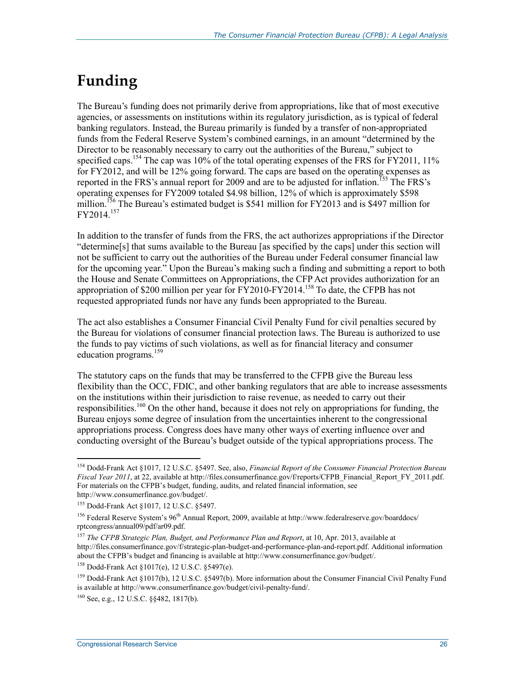## **Funding**

The Bureau's funding does not primarily derive from appropriations, like that of most executive agencies, or assessments on institutions within its regulatory jurisdiction, as is typical of federal banking regulators. Instead, the Bureau primarily is funded by a transfer of non-appropriated funds from the Federal Reserve System's combined earnings, in an amount "determined by the Director to be reasonably necessary to carry out the authorities of the Bureau," subject to specified caps.<sup>154</sup> The cap was 10% of the total operating expenses of the FRS for FY2011, 11% for FY2012, and will be 12% going forward. The caps are based on the operating expenses as reported in the FRS's annual report for 2009 and are to be adjusted for inflation.<sup>155</sup> The FRS's operating expenses for FY2009 totaled \$4.98 billion, 12% of which is approximately \$598 million.<sup>156</sup> The Bureau's estimated budget is \$541 million for FY2013 and is \$497 million for FY2014.157

In addition to the transfer of funds from the FRS, the act authorizes appropriations if the Director "determine[s] that sums available to the Bureau [as specified by the caps] under this section will not be sufficient to carry out the authorities of the Bureau under Federal consumer financial law for the upcoming year." Upon the Bureau's making such a finding and submitting a report to both the House and Senate Committees on Appropriations, the CFP Act provides authorization for an appropriation of \$200 million per year for FY2010-FY2014.158 To date, the CFPB has not requested appropriated funds nor have any funds been appropriated to the Bureau.

The act also establishes a Consumer Financial Civil Penalty Fund for civil penalties secured by the Bureau for violations of consumer financial protection laws. The Bureau is authorized to use the funds to pay victims of such violations, as well as for financial literacy and consumer education programs.<sup>159</sup>

The statutory caps on the funds that may be transferred to the CFPB give the Bureau less flexibility than the OCC, FDIC, and other banking regulators that are able to increase assessments on the institutions within their jurisdiction to raise revenue, as needed to carry out their responsibilities.<sup>160</sup> On the other hand, because it does not rely on appropriations for funding, the Bureau enjoys some degree of insulation from the uncertainties inherent to the congressional appropriations process. Congress does have many other ways of exerting influence over and conducting oversight of the Bureau's budget outside of the typical appropriations process. The

<u>.</u>

<sup>154</sup> Dodd-Frank Act §1017, 12 U.S.C. §5497. See, also, *Financial Report of the Consumer Financial Protection Bureau Fiscal Year 2011*, at 22, available at http://files.consumerfinance.gov/f/reports/CFPB\_Financial\_Report\_FY\_2011.pdf. For materials on the CFPB's budget, funding, audits, and related financial information, see http://www.consumerfinance.gov/budget/.

<sup>155</sup> Dodd-Frank Act §1017, 12 U.S.C. §5497.

<sup>&</sup>lt;sup>156</sup> Federal Reserve System's 96<sup>th</sup> Annual Report, 2009, available at http://www.federalreserve.gov/boarddocs/ rptcongress/annual09/pdf/ar09.pdf.

<sup>157</sup> *The CFPB Strategic Plan, Budget, and Performance Plan and Report*, at 10, Apr. 2013, available at http://files.consumerfinance.gov/f/strategic-plan-budget-and-performance-plan-and-report.pdf. Additional information about the CFPB's budget and financing is available at http://www.consumerfinance.gov/budget/.

<sup>158</sup> Dodd-Frank Act §1017(e), 12 U.S.C. §5497(e).

<sup>&</sup>lt;sup>159</sup> Dodd-Frank Act §1017(b), 12 U.S.C. §5497(b). More information about the Consumer Financial Civil Penalty Fund is available at http://www.consumerfinance.gov/budget/civil-penalty-fund/.

<sup>160</sup> See, e.g., 12 U.S.C. §§482, 1817(b).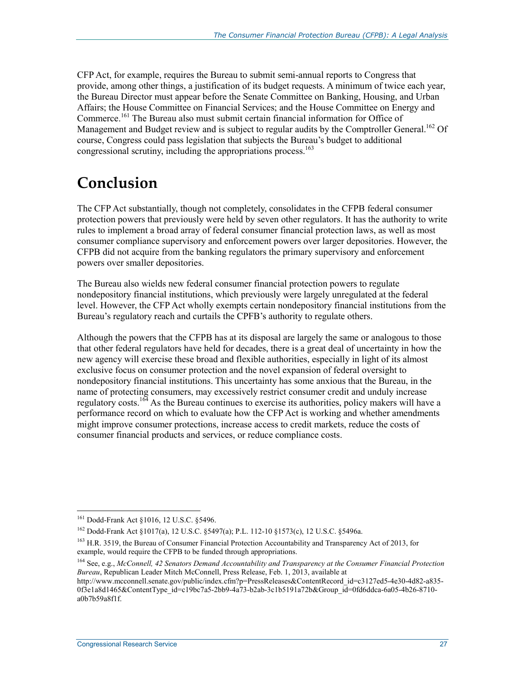CFP Act, for example, requires the Bureau to submit semi-annual reports to Congress that provide, among other things, a justification of its budget requests. A minimum of twice each year, the Bureau Director must appear before the Senate Committee on Banking, Housing, and Urban Affairs; the House Committee on Financial Services; and the House Committee on Energy and Commerce.<sup>161</sup> The Bureau also must submit certain financial information for Office of Management and Budget review and is subject to regular audits by the Comptroller General.<sup>162</sup> Of course, Congress could pass legislation that subjects the Bureau's budget to additional congressional scrutiny, including the appropriations process.<sup>163</sup>

## **Conclusion**

The CFP Act substantially, though not completely, consolidates in the CFPB federal consumer protection powers that previously were held by seven other regulators. It has the authority to write rules to implement a broad array of federal consumer financial protection laws, as well as most consumer compliance supervisory and enforcement powers over larger depositories. However, the CFPB did not acquire from the banking regulators the primary supervisory and enforcement powers over smaller depositories.

The Bureau also wields new federal consumer financial protection powers to regulate nondepository financial institutions, which previously were largely unregulated at the federal level. However, the CFP Act wholly exempts certain nondepository financial institutions from the Bureau's regulatory reach and curtails the CPFB's authority to regulate others.

Although the powers that the CFPB has at its disposal are largely the same or analogous to those that other federal regulators have held for decades, there is a great deal of uncertainty in how the new agency will exercise these broad and flexible authorities, especially in light of its almost exclusive focus on consumer protection and the novel expansion of federal oversight to nondepository financial institutions. This uncertainty has some anxious that the Bureau, in the name of protecting consumers, may excessively restrict consumer credit and unduly increase regulatory costs.164 As the Bureau continues to exercise its authorities, policy makers will have a performance record on which to evaluate how the CFP Act is working and whether amendments might improve consumer protections, increase access to credit markets, reduce the costs of consumer financial products and services, or reduce compliance costs.

<sup>&</sup>lt;sup>161</sup> Dodd-Frank Act §1016, 12 U.S.C. §5496.

<sup>162</sup> Dodd-Frank Act §1017(a), 12 U.S.C. §5497(a); P.L. 112-10 §1573(c), 12 U.S.C. §5496a.

<sup>&</sup>lt;sup>163</sup> H.R. 3519, the Bureau of Consumer Financial Protection Accountability and Transparency Act of 2013, for example, would require the CFPB to be funded through appropriations.

<sup>164</sup> See, e.g., *McConnell, 42 Senators Demand Accountability and Transparency at the Consumer Financial Protection Bureau*, Republican Leader Mitch McConnell, Press Release, Feb. 1, 2013, available at

http://www.mcconnell.senate.gov/public/index.cfm?p=PressReleases&ContentRecord\_id=c3127ed5-4e30-4d82-a835- 0f3e1a8d1465&ContentType\_id=c19bc7a5-2bb9-4a73-b2ab-3c1b5191a72b&Group\_id=0fd6ddca-6a05-4b26-8710a0b7b59a8f1f.